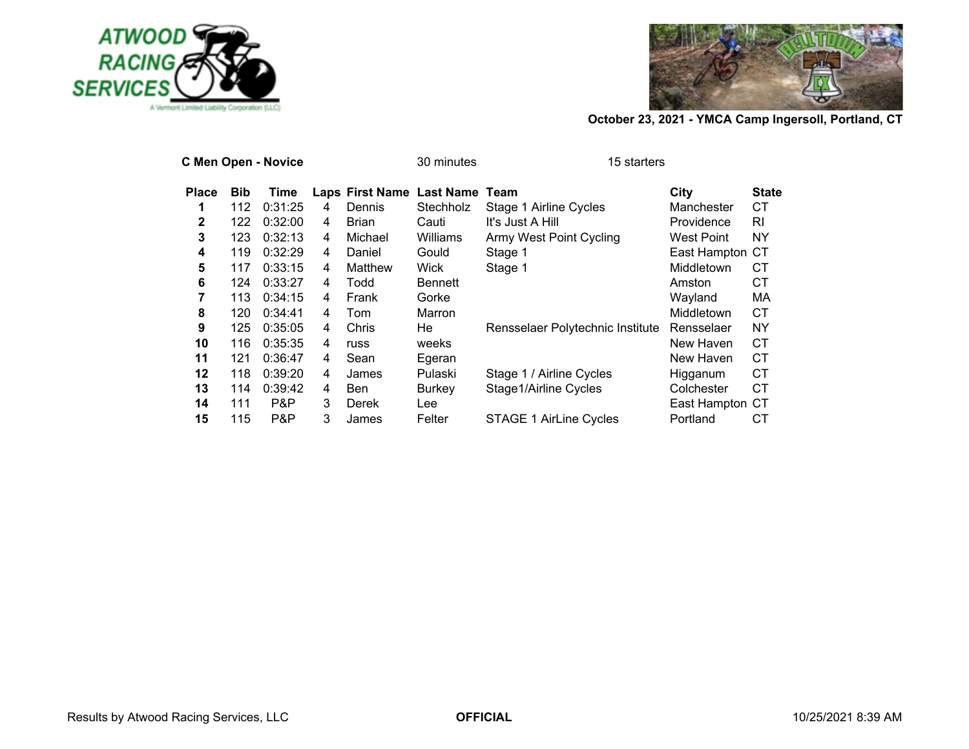



|              |            | <b>C Men Open - Novice</b> |   |                           | 30 minutes | 15 starters                      |                 |              |
|--------------|------------|----------------------------|---|---------------------------|------------|----------------------------------|-----------------|--------------|
| <b>Place</b> | <b>Bib</b> | Time                       |   | Laps First Name Last Name |            | Team                             | City            | <b>State</b> |
| 1            | 112        | 0:31:25                    | 4 | Dennis                    | Stechholz  | Stage 1 Airline Cycles           | Manchester      | СT           |
| 2            | 122        | 0:32:00                    | 4 | Brian                     | Cauti      | It's Just A Hill                 | Providence      | RI           |
| 3            | 123        | 0:32:13                    | 4 | Michael                   | Williams   | Army West Point Cycling          | West Point      | NY           |
| 4            | 119        | 0:32:29                    | 4 | Daniel                    | Gould      | Stage 1                          | East Hampton CT |              |
| 5            | 117        | 0:33:15                    | 4 | Matthew                   | Wick       | Stage 1                          | Middletown      | CТ           |
| 6            | 124        | 0:33:27                    | 4 | Todd                      | Bennett    |                                  | Amston          | <b>CT</b>    |
| 7            | 113        | 0:34:15                    | 4 | Frank                     | Gorke      |                                  | Wayland         | MA           |
| 8            | 120        | 0:34:41                    | 4 | Tom                       | Marron     |                                  | Middletown      | СT           |
| 9            | 125        | 0:35:05                    | 4 | Chris                     | He         | Rensselaer Polytechnic Institute | Rensselaer      | <b>NY</b>    |
| 10           | 116        | 0:35:35                    | 4 | russ                      | weeks      |                                  | New Haven       | СT           |
| 11           | 121        | 0:36:47                    | 4 | Sean                      | Egeran     |                                  | New Haven       | <b>CT</b>    |
| 12           | 118        | 0:39:20                    | 4 | James                     | Pulaski    | Stage 1 / Airline Cycles         | Higganum        | <b>CT</b>    |
| 13           | 114        | 0:39:42                    | 4 | Ben                       | Burkey     | Stage1/Airline Cycles            | Colchester      | СT           |
| 14           | 111        | P&P                        | 3 | <b>Derek</b>              | Lee        |                                  | East Hampton CT |              |
| 15           | 115        | P&P                        | 3 | James                     | Felter     | <b>STAGE 1 AirLine Cycles</b>    | Portland        | СT           |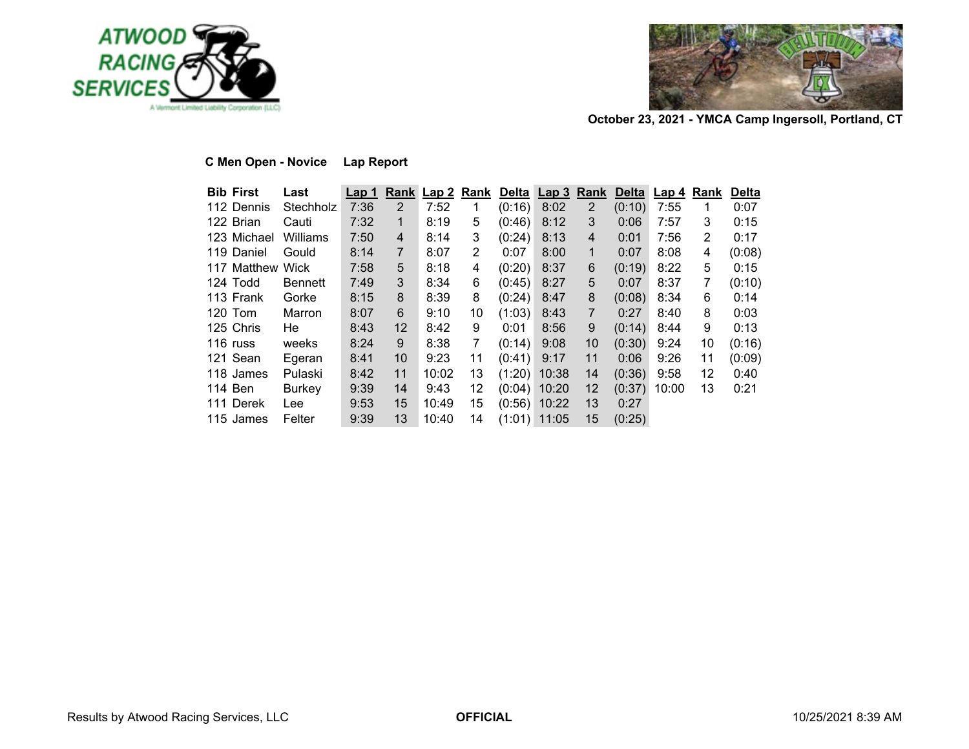



# **C Men Open - Novice Lap Report**

| <b>Bib First</b> | Last          | <u>Lap 1</u> |                |       |                |        | Rank Lap 2 Rank Delta Lap 3 Rank |                       |        | Delta Lap 4 | <b>Rank</b> | <b>Delta</b> |
|------------------|---------------|--------------|----------------|-------|----------------|--------|----------------------------------|-----------------------|--------|-------------|-------------|--------------|
| 112 Dennis       | Stechholz     | 7:36         | $\overline{2}$ | 7:52  | 1              | (0:16) | 8:02                             | $\mathbf{2}^{\prime}$ | (0:10) | 7:55        | 1           | 0:07         |
| 122 Brian        | Cauti         | 7:32         | 1              | 8:19  | 5              | (0:46) | 8:12                             | 3                     | 0:06   | 7:57        | 3           | 0:15         |
| 123 Michael      | Williams      | 7:50         | 4              | 8:14  | 3              | (0:24) | 8:13                             | $\overline{4}$        | 0:01   | 7:56        | 2           | 0:17         |
| 119 Daniel       | Gould         | 8:14         | $\overline{7}$ | 8:07  | $\overline{2}$ | 0:07   | 8:00                             | $\mathbf{1}$          | 0:07   | 8:08        | 4           | (0:08)       |
| 117 Matthew Wick |               | 7:58         | 5              | 8:18  | 4              | (0:20) | 8:37                             | 6                     | (0:19) | 8:22        | 5           | 0:15         |
| 124 Todd         | Bennett       | 7:49         | 3              | 8:34  | 6              | (0:45) | 8:27                             | 5                     | 0:07   | 8:37        | 7           | (0:10)       |
| 113 Frank        | Gorke         | 8:15         | 8              | 8:39  | 8              | (0:24) | 8:47                             | 8                     | (0:08) | 8:34        | 6           | 0:14         |
| $120$ Tom        | Marron        | 8:07         | 6              | 9:10  | 10             | (1:03) | 8:43                             | $\overline{7}$        | 0:27   | 8:40        | 8           | 0:03         |
| 125 Chris        | He            | 8:43         | 12             | 8:42  | 9              | 0:01   | 8:56                             | 9                     | (0:14) | 8:44        | 9           | 0:13         |
| 116 russ         | weeks         | 8:24         | 9              | 8:38  | 7              | (0:14) | 9:08                             | 10                    | (0:30) | 9:24        | 10          | (0:16)       |
| 121 Sean         | Egeran        | 8:41         | 10             | 9:23  | 11             | (0:41) | 9:17                             | 11                    | 0:06   | 9:26        | 11          | (0:09)       |
| 118 James        | Pulaski       | 8:42         | 11             | 10:02 | 13             | (1:20) | 10:38                            | 14                    | (0:36) | 9:58        | 12          | 0:40         |
| 114 Ben          | <b>Burkey</b> | 9:39         | 14             | 9:43  | 12             |        | $(0:04)$ 10:20                   | 12                    | (0:37) | 10:00       | 13          | 0:21         |
| 111 Derek        | Lee           | 9:53         | 15             | 10:49 | 15             |        | $(0:56)$ 10:22                   | 13                    | 0:27   |             |             |              |
| 115 James        | Felter        | 9:39         | 13             | 10:40 | 14             |        | $(1:01)$ 11:05                   | 15                    | (0:25) |             |             |              |
|                  |               |              |                |       |                |        |                                  |                       |        |             |             |              |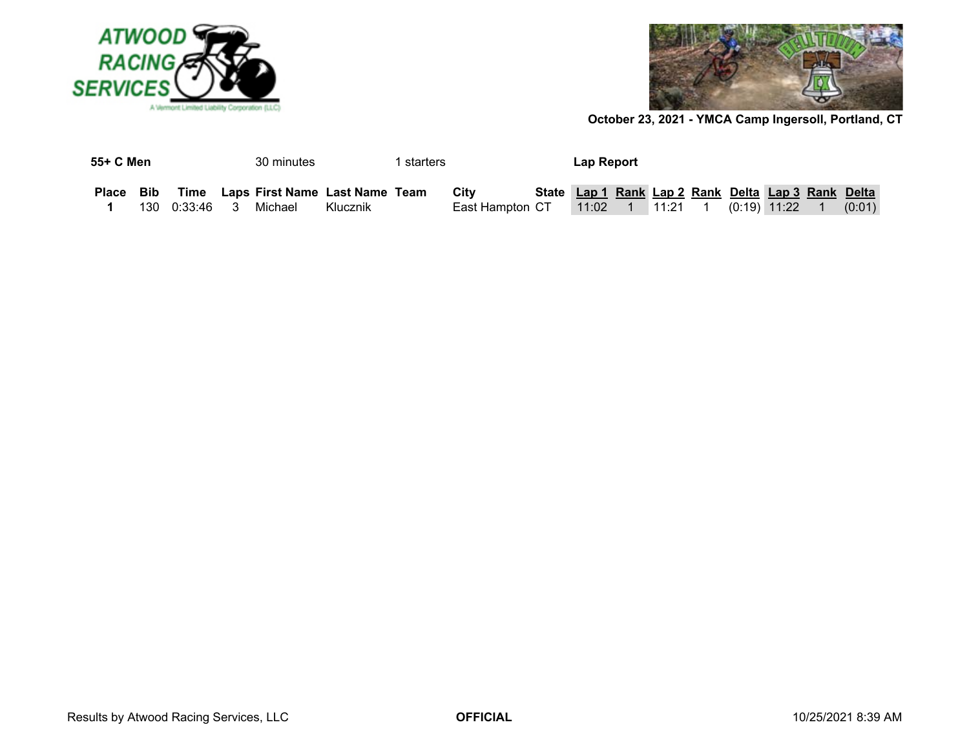



| 55+ C Men |                          | 30 minutes                          |          | l starters |                   | Lap Report                                         |  |  |  |        |
|-----------|--------------------------|-------------------------------------|----------|------------|-------------------|----------------------------------------------------|--|--|--|--------|
| Place Bib |                          | Time Laps First Name Last Name Team |          |            | Citv              | State Lap 1 Rank Lap 2 Rank Delta Lap 3 Rank Delta |  |  |  |        |
|           | 130  0:33:46  3  Michael |                                     | Klucznik |            | East Hampton_CT__ |                                                    |  |  |  | (0:01) |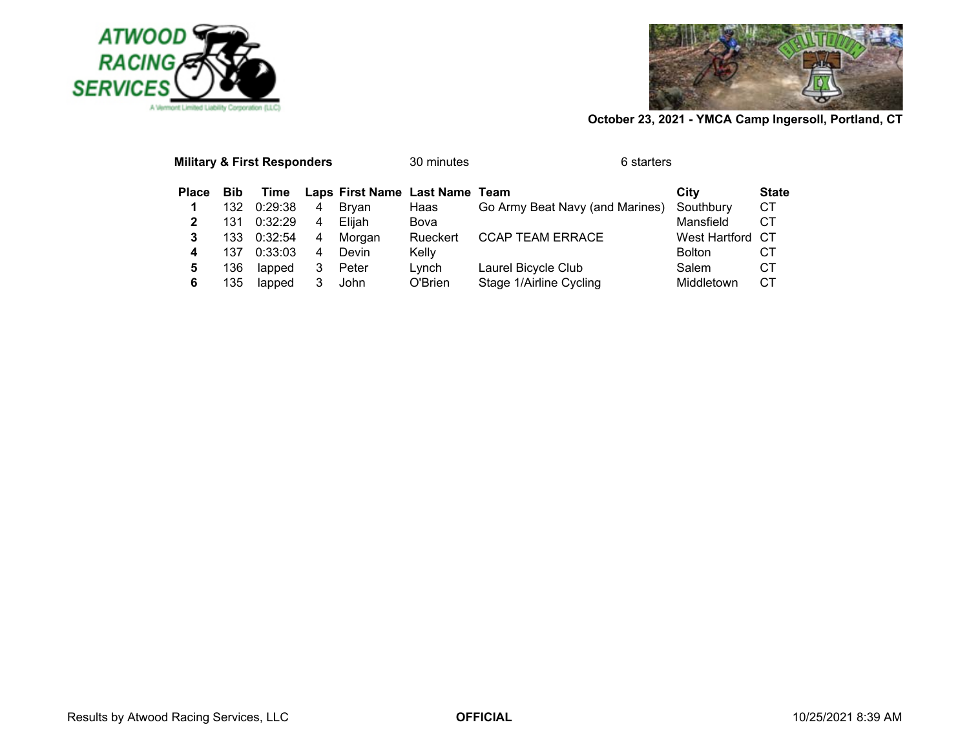



|              |            | <b>Military &amp; First Responders</b> |   |                                | 30 minutes | 6 starters                      |                  |              |
|--------------|------------|----------------------------------------|---|--------------------------------|------------|---------------------------------|------------------|--------------|
| <b>Place</b> | <b>Bib</b> | Time                                   |   | Laps First Name Last Name Team |            |                                 | City             | <b>State</b> |
| 1            | 132        | 0:29:38                                | 4 | Brvan                          | Haas       | Go Army Beat Navy (and Marines) | Southbury        | <b>CT</b>    |
| 2            | 131        | 0:32:29                                | 4 | Eliiah                         | Bova       |                                 | Mansfield        | СT           |
| 3            | 133.       | 0:32:54                                | 4 | Morgan                         | Rueckert   | <b>CCAP TEAM ERRACE</b>         | West Hartford CT |              |
| 4            | 137        | 0:33:03                                | 4 | Devin                          | Kelly      |                                 | <b>Bolton</b>    | CТ           |
| 5            | 136        | lapped                                 | 3 | Peter                          | Lvnch      | Laurel Bicycle Club             | Salem            | CТ           |
| 6            | 135        | lapped                                 |   | John                           | O'Brien    | Stage 1/Airline Cycling         | Middletown       | CТ           |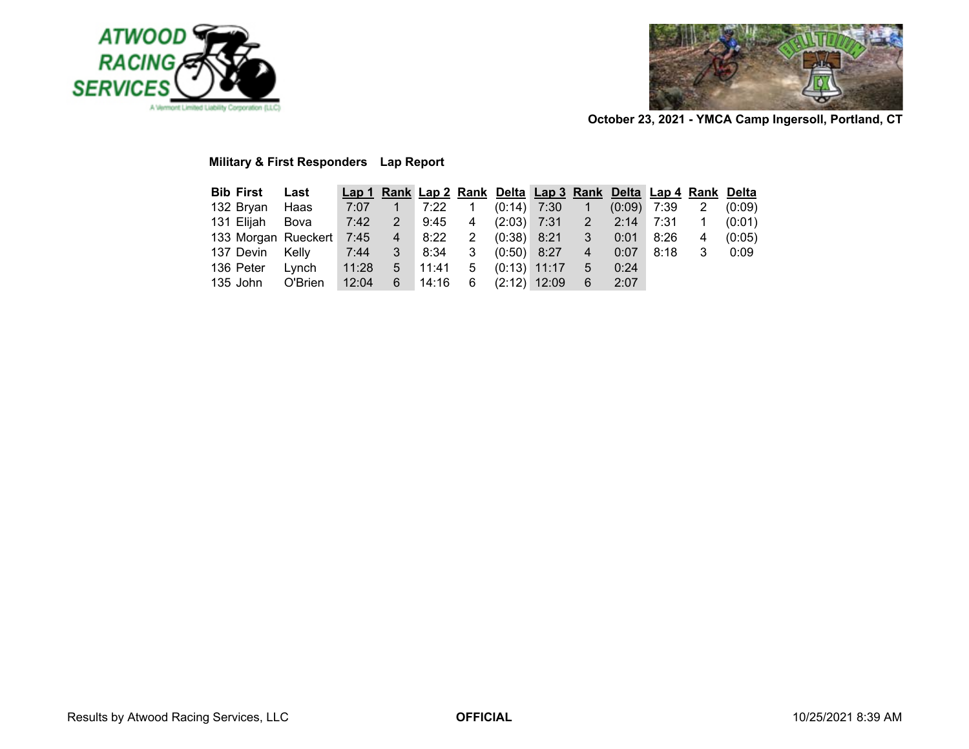



# **Military & First Responders Lap Report**

| <b>Bib First Last</b> |                                                                         |  |  | Lap 1 Rank Lap 2 Rank Delta Lap 3 Rank Delta Lap 4 Rank Delta |  |  |  |
|-----------------------|-------------------------------------------------------------------------|--|--|---------------------------------------------------------------|--|--|--|
|                       | 132 Bryan Haas 7:07  1  7:22  1  (0:14) 7:30  1  (0:09) 7:39  2  (0:09) |  |  |                                                               |  |  |  |
|                       | 131 Elijah Bova 7:42 2 9:45 4 (2:03) 7:31 2 2:14 7:31 1 (0:01)          |  |  |                                                               |  |  |  |
|                       | 133 Morgan Rueckert 7:45 4 8:22 2 (0:38) 8:21 3 0:01 8:26 4 (0:05)      |  |  |                                                               |  |  |  |
|                       | 137 Devin Kelly 7:44 3 8:34 3 (0:50) 8:27 4 0:07 8:18 3 0:09            |  |  |                                                               |  |  |  |
|                       | 136 Peter Lynch 11:28 5 11:41 5 (0:13) 11:17 5 0:24                     |  |  |                                                               |  |  |  |
|                       | 135 John O'Brien 12:04 6 14:16 6 (2:12) 12:09 6 2:07                    |  |  |                                                               |  |  |  |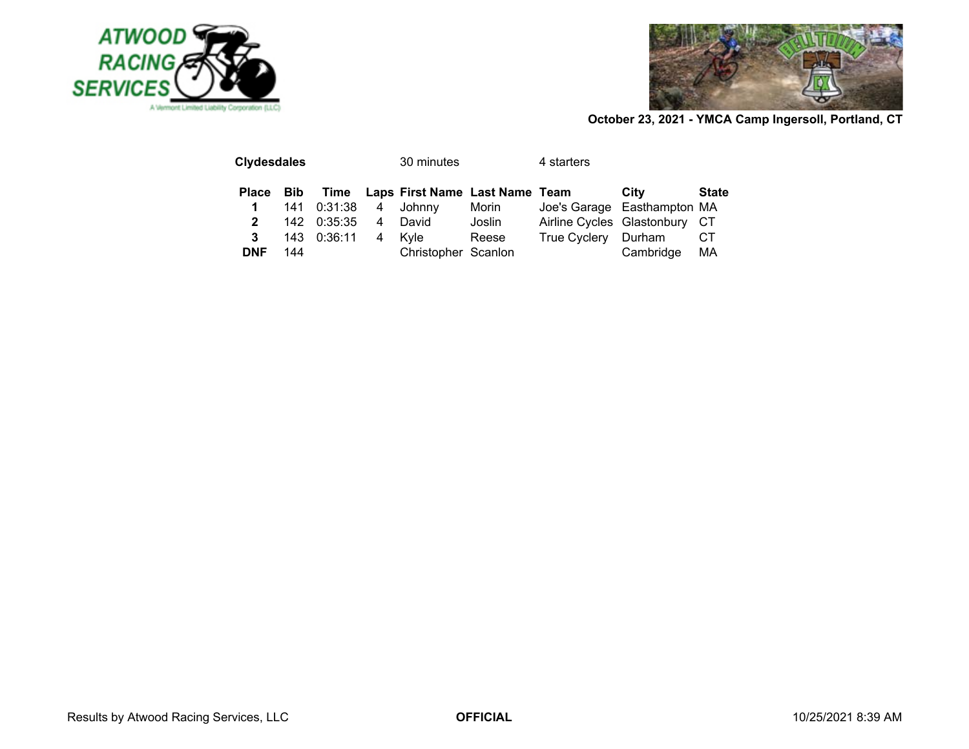



| <b>Clydesdales</b> |     |             |   | 30 minutes                          |        | 4 starters                    |           |              |
|--------------------|-----|-------------|---|-------------------------------------|--------|-------------------------------|-----------|--------------|
| Place Bib          |     |             |   | Time Laps First Name Last Name Team |        |                               | City      | <b>State</b> |
| 1                  |     | 141 0:31:38 |   | 4 Johnny                            | Morin  | Joe's Garage Easthampton MA   |           |              |
| $\mathbf{2}$       |     | 142 0:35:35 | 4 | David                               | Joslin | Airline Cycles Glastonbury CT |           |              |
|                    |     | 143 0:36:11 | 4 | Kvle                                | Reese  | True Cyclery Durham           |           | CT.          |
| <b>DNF</b>         | 144 |             |   | Christopher Scanlon                 |        |                               | Cambridge | MA           |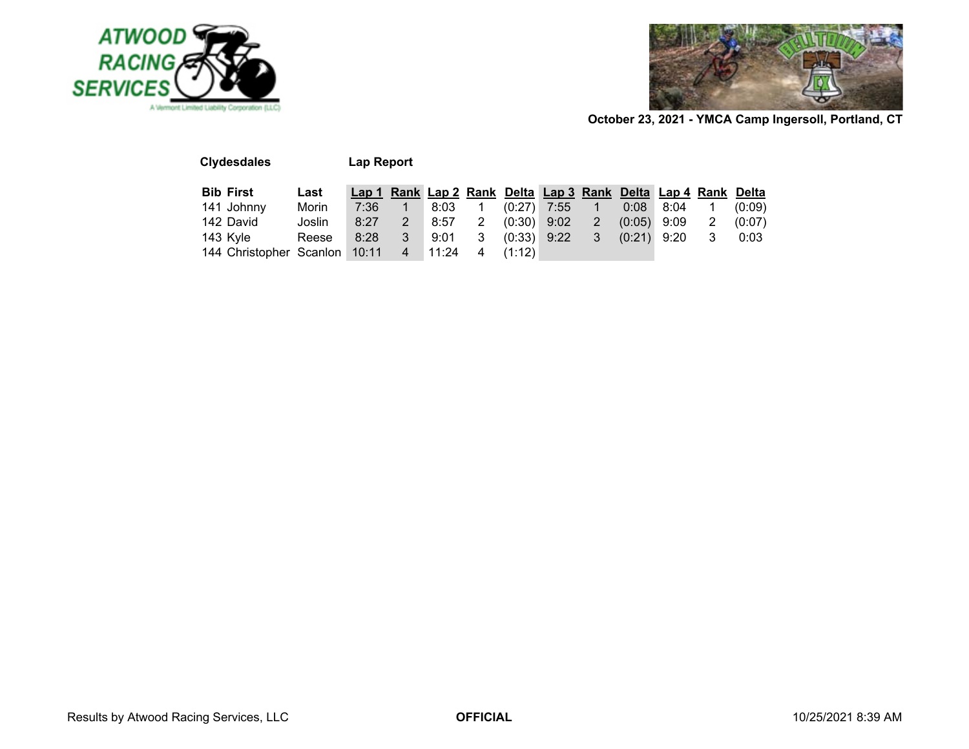



| <b>Clydesdales</b>            |        | Lap Report |                |       |                      |               |                                                               |                |        |      |   |        |
|-------------------------------|--------|------------|----------------|-------|----------------------|---------------|---------------------------------------------------------------|----------------|--------|------|---|--------|
| <b>Bib First</b>              | Last   |            |                |       |                      |               | Lap 1 Rank Lap 2 Rank Delta Lap 3 Rank Delta Lap 4 Rank Delta |                |        |      |   |        |
| 141 Johnny                    | Morin  | 7:36       |                | 8:03  |                      | $(0:27)$ 7:55 |                                                               |                | 0:08   | 8:04 |   | (0:09) |
| 142 David                     | Joslin | 8:27       |                | 8:57  | $\mathbf{2}^{\circ}$ | $(0:30)$ 9:02 |                                                               | $\overline{2}$ | (0:05) | 9:09 | 2 | (0:07) |
| 143 Kyle                      | Reese  | 8:28       | 3              | 9:01  | 3                    | $(0:33)$ 9:22 |                                                               | 3              | (0:21) | 9:20 | 3 | 0:03   |
| 144 Christopher Scanlon 10:11 |        |            | $\overline{4}$ | 11:24 | 4                    | (1:12)        |                                                               |                |        |      |   |        |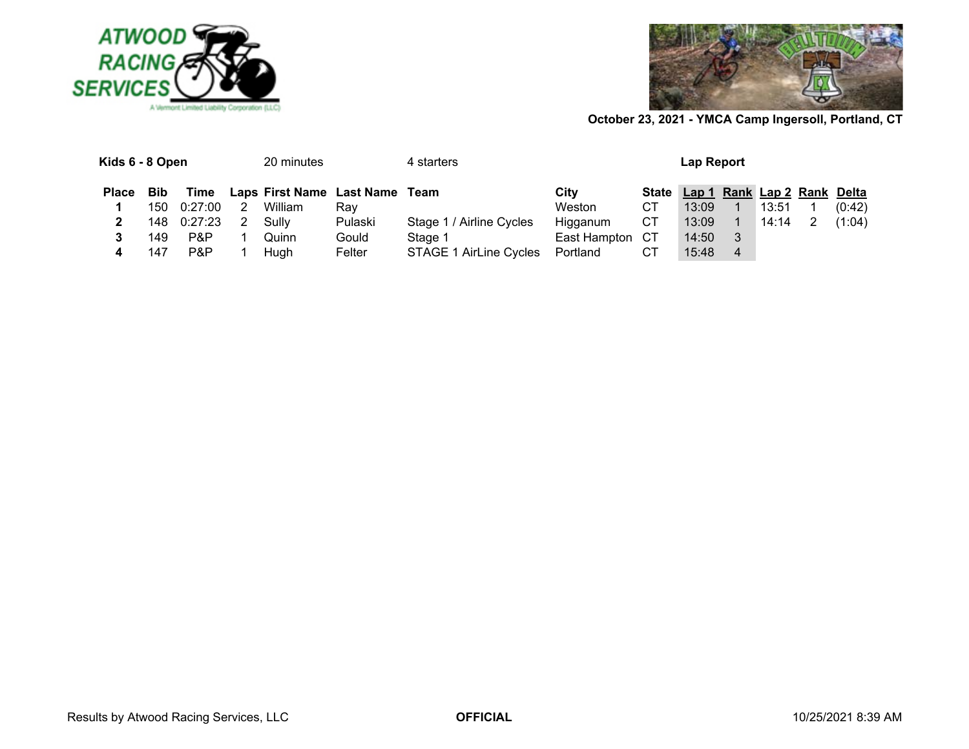



| Kids 6 - 8 Open |     |             |   | 20 minutes |                                     | 4 starters               |                 |    | Lap Report                        |                |       |        |
|-----------------|-----|-------------|---|------------|-------------------------------------|--------------------------|-----------------|----|-----------------------------------|----------------|-------|--------|
| <b>Place</b>    | Bib |             |   |            | Time Laps First Name Last Name Team |                          | City            |    | State Lap 1 Rank Lap 2 Rank Delta |                |       |        |
|                 |     | 150 0:27:00 | 2 | William    | Rav                                 |                          | Weston          | СT | 13:09                             |                | 13:51 | (0:42) |
|                 |     | 148 0:27:23 | 2 | Sully      | Pulaski                             | Stage 1 / Airline Cycles | Higganum        | СT | 13:09                             |                | 14:14 | (1:04) |
|                 | 149 | P&P         |   | Quinn      | Gould                               | Stage 1                  | East Hampton CT |    | 14:50                             | 3              |       |        |
|                 | 147 | P&P         |   | Hugh       | Felter                              | STAGE 1 AirLine Cycles   | Portland        | CТ | 15:48                             | $\overline{4}$ |       |        |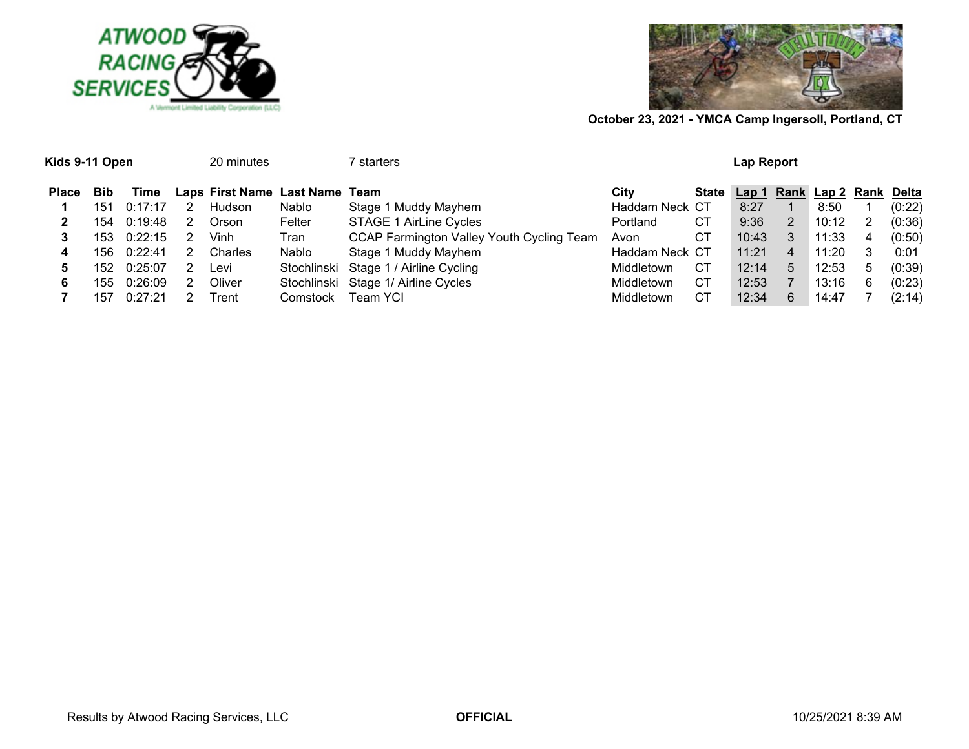

Kids 9-11 Open 20 minutes 7 starters



| <b>Lap Report</b> |
|-------------------|
|                   |

| <b>Place</b> | <b>Bib</b> | Time    |   | Laps First Name Last Name Team |          |                                           | Citv           |    | State Lap 1 Rank Lap 2 Rank Delta |   |       |   |        |
|--------------|------------|---------|---|--------------------------------|----------|-------------------------------------------|----------------|----|-----------------------------------|---|-------|---|--------|
|              | 151        | 0:17:17 | 2 | Hudson                         | Nablo    | Stage 1 Muddy Mayhem                      | Haddam Neck CT |    | 8:27                              |   | 8:50  |   | (0:22) |
|              | 154        | 0:19:48 | 2 | Orson                          | Felter   | STAGE 1 AirLine Cycles                    | Portland       | CТ | 9:36                              | 2 | 10:12 | 2 | (0:36) |
|              | 153        | 0:22:15 |   | Vinh                           | Tran     | CCAP Farmington Valley Youth Cycling Team | Avon           | СT | 10:43                             |   | 11:33 | 4 | (0:50) |
| 4            | 156        | 0:22:41 | 2 | Charles                        | Nablo    | Stage 1 Muddy Mayhem                      | Haddam Neck CT |    | 11:21                             | 4 | 11:20 | 3 | 0:01   |
|              | 152        | 0:25:07 |   | Levi                           |          | Stochlinski Stage 1 / Airline Cycling     | Middletown     | CТ | 12:14                             | 5 | 12:53 | 5 | (0:39) |
| 6            | 155        | 0:26:09 | 2 | Oliver                         |          | Stochlinski Stage 1/ Airline Cycles       | Middletown     | СT | 12:53                             |   | 13:16 | 6 | (0:23) |
|              | 157        | 0:27:21 |   | Trent                          | Comstock | Team YCI                                  | Middletown     | CТ | 12:34                             | 6 | 14:47 |   | (2:14) |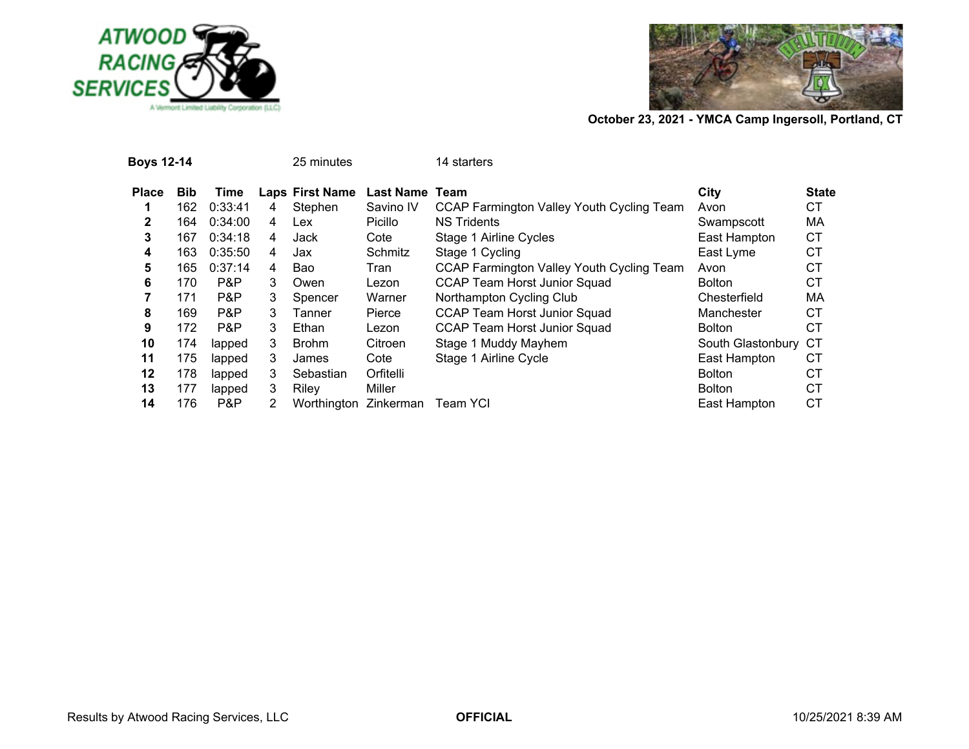



| Boys 12-14   |            |         |    | 25 minutes      |                       | 14 starters                                      |                   |              |
|--------------|------------|---------|----|-----------------|-----------------------|--------------------------------------------------|-------------------|--------------|
| <b>Place</b> | <b>Bib</b> | Time    |    | Laps First Name | <b>Last Name Team</b> |                                                  | City              | <b>State</b> |
|              | 162        | 0:33:41 | 4  | Stephen         | Savino IV             | CCAP Farmington Valley Youth Cycling Team        | Avon              | СT           |
| $\mathbf{2}$ | 164        | 0:34:00 | 4  | Lex             | Picillo               | <b>NS Tridents</b>                               | Swampscott        | MA           |
| 3            | 167        | 0:34:18 | 4  | Jack            | Cote                  | Stage 1 Airline Cycles                           | East Hampton      | <b>CT</b>    |
| 4            | 163        | 0:35:50 | 4  | Jax             | Schmitz               | Stage 1 Cycling                                  | East Lyme         | <b>CT</b>    |
| 5            | 165        | 0:37:14 | 4  | Bao             | Tran                  | <b>CCAP Farmington Valley Youth Cycling Team</b> | Avon              | <b>CT</b>    |
| 6            | 170        | P&P     | 3  | Owen            | Lezon                 | <b>CCAP Team Horst Junior Squad</b>              | <b>Bolton</b>     | <b>CT</b>    |
|              | 171        | P&P     | 3  | Spencer         | Warner                | Northampton Cycling Club                         | Chesterfield      | MA           |
| 8            | 169        | P&P     | 3  | Tanner          | Pierce                | <b>CCAP Team Horst Junior Squad</b>              | Manchester        | <b>CT</b>    |
| 9            | 172        | P&P     | 3  | Ethan           | Lezon                 | <b>CCAP Team Horst Junior Squad</b>              | <b>Bolton</b>     | СT           |
| 10           | 174        | lapped  | 3  | <b>Brohm</b>    | Citroen               | Stage 1 Muddy Mayhem                             | South Glastonbury | <b>CT</b>    |
| 11           | 175        | lapped  | 3  | James           | Cote                  | Stage 1 Airline Cycle                            | East Hampton      | СT           |
| 12           | 178        | lapped  | 3. | Sebastian       | Orfitelli             |                                                  | <b>Bolton</b>     | СT           |
| 13           | 177        | lapped  | 3  | Riley           | Miller                |                                                  | <b>Bolton</b>     | <b>CT</b>    |
| 14           | 176        | P&P     | 2  | Worthington     | Zinkerman             | Team YCI                                         | East Hampton      | <b>CT</b>    |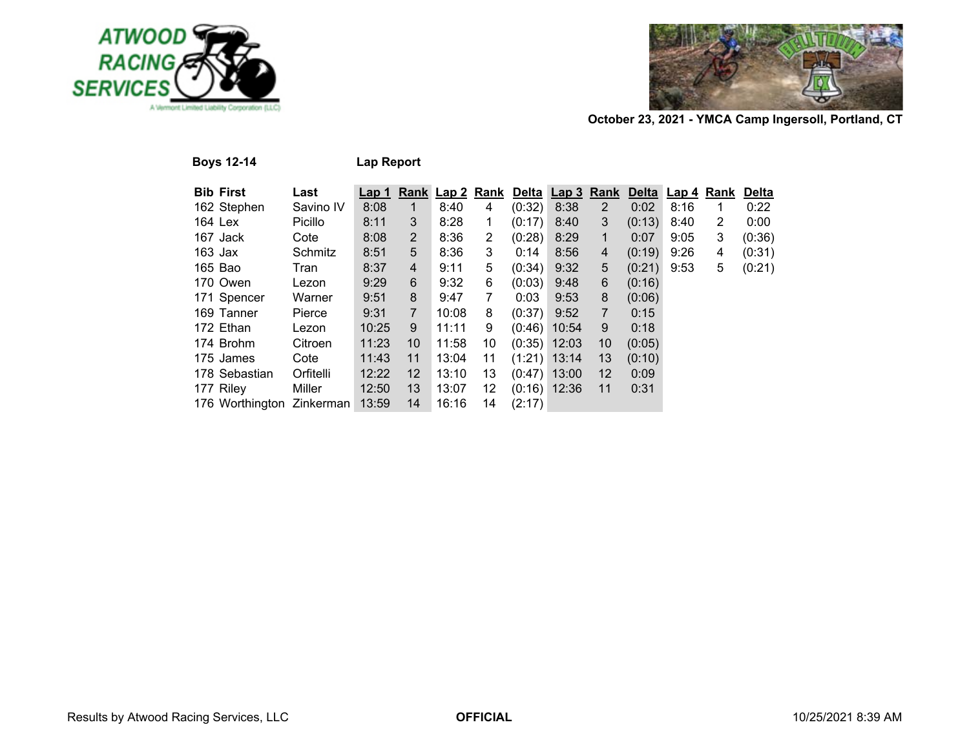



**Boys 12-14 Lap Report**

| <b>Bib First</b>          | Last      | Lap 1 |                |       |    |        | Rank Lap 2 Rank Delta Lap 3 Rank |                   | <b>Delta</b> | Lap 4 Rank |                | <b>Delta</b> |
|---------------------------|-----------|-------|----------------|-------|----|--------|----------------------------------|-------------------|--------------|------------|----------------|--------------|
| 162 Stephen               | Savino IV | 8:08  | 1              | 8:40  | 4  | (0:32) | 8:38                             | $\overline{2}$    | 0:02         | 8:16       | 1.             | 0:22         |
| 164 Lex                   | Picillo   | 8:11  | 3              | 8:28  | 1  | (0:17) | 8:40                             | 3                 | (0:13)       | 8:40       | $\overline{2}$ | 0:00         |
| 167 Jack                  | Cote      | 8:08  | $\overline{2}$ | 8:36  | 2  | (0:28) | 8:29                             | 1                 | 0:07         | 9:05       | 3              | (0:36)       |
| $163$ Jax                 | Schmitz   | 8:51  | 5              | 8:36  | 3  | 0:14   | 8:56                             | 4                 | (0:19)       | 9:26       | 4              | (0:31)       |
| 165 Bao                   | Tran      | 8:37  | 4              | 9:11  | 5  | (0:34) | 9:32                             | 5                 | (0:21)       | 9:53       | 5              | (0:21)       |
| 170 Owen                  | Lezon     | 9:29  | 6              | 9:32  | 6  | (0:03) | 9:48                             | 6                 | (0:16)       |            |                |              |
| 171 Spencer               | Warner    | 9:51  | 8              | 9:47  | 7  | 0:03   | 9:53                             | 8                 | (0:06)       |            |                |              |
| 169 Tanner                | Pierce    | 9:31  | $\overline{7}$ | 10:08 | 8  | (0:37) | 9:52                             | $\overline{7}$    | 0:15         |            |                |              |
| 172 Ethan                 | Lezon     | 10:25 | 9              | 11:11 | 9  | (0:46) | 10:54                            | 9                 | 0:18         |            |                |              |
| 174 Brohm                 | Citroen   | 11:23 | 10             | 11:58 | 10 |        | $(0:35)$ 12:03                   | 10                | (0:05)       |            |                |              |
| 175 James                 | Cote      | 11:43 | 11             | 13:04 | 11 |        | $(1:21)$ 13:14                   | 13                | (0:10)       |            |                |              |
| 178 Sebastian             | Orfitelli | 12:22 | 12             | 13:10 | 13 |        | $(0.47)$ 13:00                   | $12 \overline{ }$ | 0:09         |            |                |              |
| 177 Riley                 | Miller    | 12:50 | 13             | 13:07 | 12 |        | $(0:16)$ 12:36                   | 11                | 0:31         |            |                |              |
| 176 Worthington Zinkerman |           | 13:59 | 14             | 16:16 | 14 | (2:17) |                                  |                   |              |            |                |              |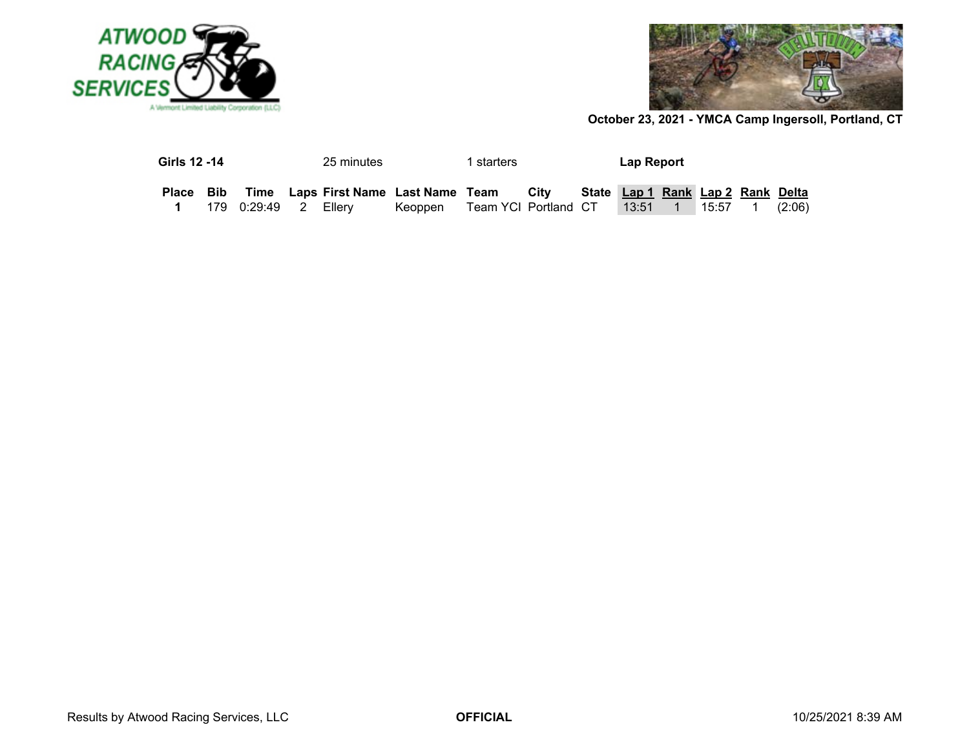



| Girls 12 -14 |                         | 25 minutes |                                               | starters             |      | Lap Report                        |         |        |  |
|--------------|-------------------------|------------|-----------------------------------------------|----------------------|------|-----------------------------------|---------|--------|--|
|              |                         |            | Place Bib Time Laps First Name Last Name Team |                      | Citv | State Lap 1 Rank Lap 2 Rank Delta |         |        |  |
|              | 179  0:29:49  2  Ellerv |            | Keoppen                                       | Team YCI Portland CT |      | $13:51$ 1                         | 15:57 1 | (2:06) |  |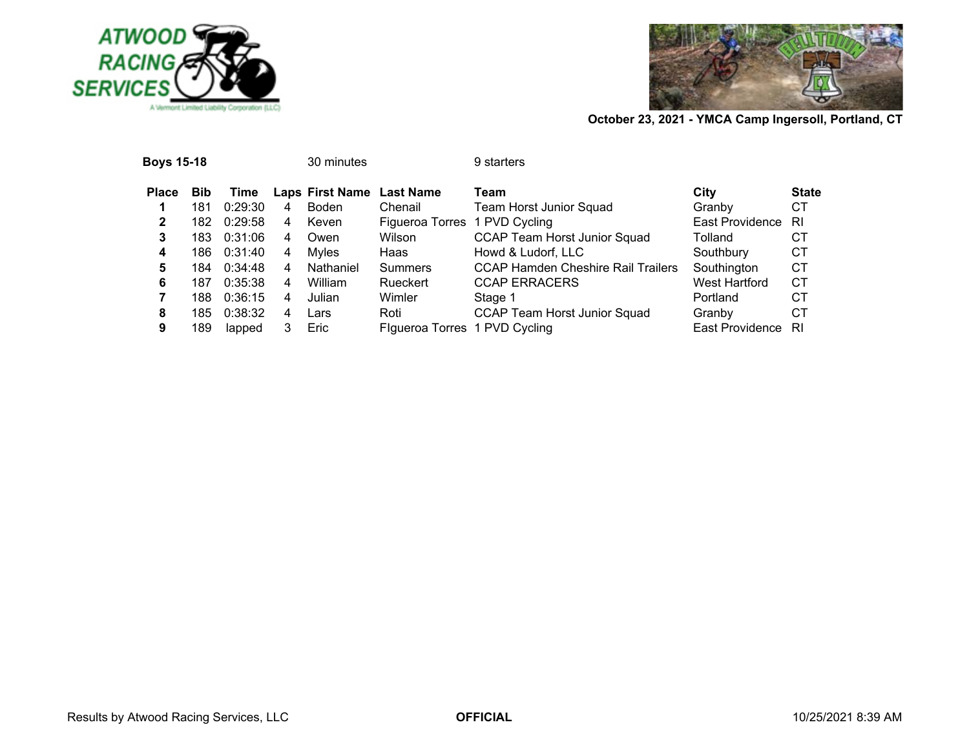



| <b>Boys 15-18</b> |            |         |   | 30 minutes                |                               | 9 starters                                |                 |              |
|-------------------|------------|---------|---|---------------------------|-------------------------------|-------------------------------------------|-----------------|--------------|
| <b>Place</b>      | <b>Bib</b> | Time    |   | Laps First Name Last Name |                               | Team                                      | City            | <b>State</b> |
|                   | 181        | 0:29:30 | 4 | Boden                     | Chenail                       | <b>Team Horst Junior Squad</b>            | Granby          | СT           |
| 2                 | 182        | 0:29:58 | 4 | Keven                     | Figueroa Torres 1 PVD Cycling |                                           | East Providence | RI           |
| 3                 | 183        | 0:31:06 | 4 | Owen                      | Wilson                        | <b>CCAP Team Horst Junior Squad</b>       | Tolland         | CТ           |
| 4                 | 186.       | 0:31:40 | 4 | Mvles                     | Haas                          | Howd & Ludorf, LLC                        | Southbury       | СT           |
| 5                 | 184        | 0:34:48 | 4 | Nathaniel                 | <b>Summers</b>                | <b>CCAP Hamden Cheshire Rail Trailers</b> | Southington     | <b>CT</b>    |
| 6                 | 187        | 0:35:38 | 4 | William                   | Rueckert                      | <b>CCAP ERRACERS</b>                      | West Hartford   | СT           |
|                   | 188        | 0:36:15 | 4 | Julian                    | Wimler                        | Stage 1                                   | Portland        | СT           |
| 8                 | 185        | 0:38:32 | 4 | Lars                      | Roti                          | <b>CCAP Team Horst Junior Squad</b>       | Granby          | СT           |
| 9                 | 189        | lapped  |   | Eric                      | Figueroa Torres 1 PVD Cycling |                                           | East Providence | RI           |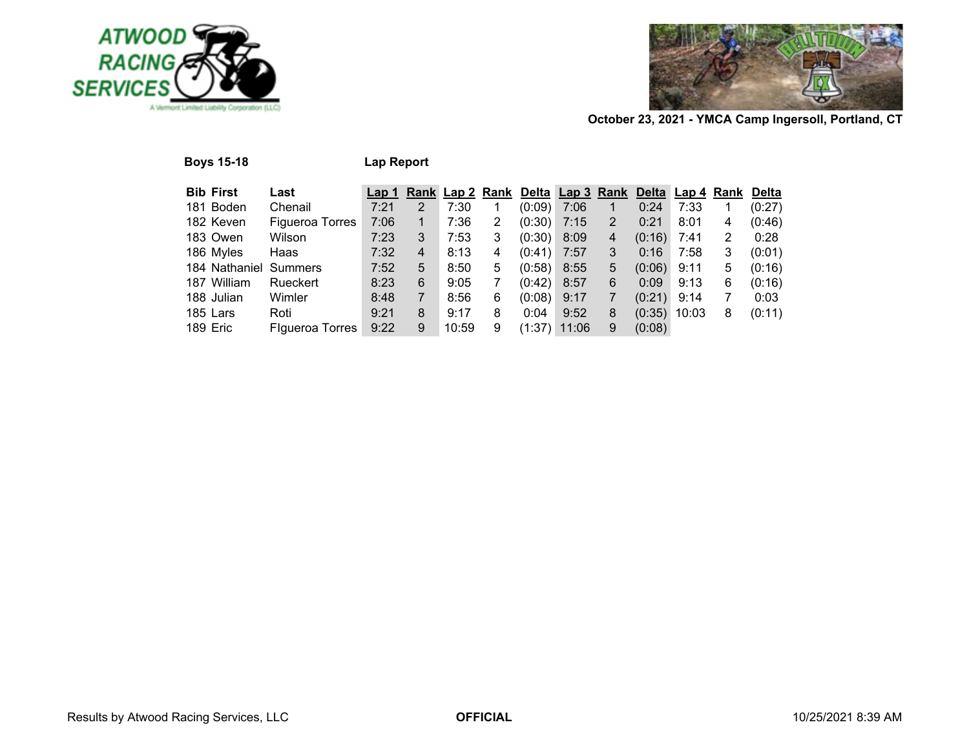

**Boys 15-18 Lap Report**



| <b>Bib First</b>      | Last                   | Lap <sub>1</sub> |   |       |                |        |       |   |        | Rank Lap 2 Rank Delta Lap 3 Rank Delta Lap 4 Rank Delta |   |        |
|-----------------------|------------------------|------------------|---|-------|----------------|--------|-------|---|--------|---------------------------------------------------------|---|--------|
| 181 Boden             | Chenail                | 7:21             | 2 | 7:30  |                | (0:09) | 7:06  |   | 0:24   | 7:33                                                    |   | (0:27) |
| 182 Keven             | <b>Figueroa Torres</b> | 7:06             | 1 | 7:36  | $\overline{2}$ | (0:30) | 7:15  | 2 | 0:21   | 8:01                                                    | 4 | (0:46) |
| 183 Owen              | Wilson                 | 7:23             | 3 | 7:53  | 3              | (0:30) | 8:09  | 4 | (0:16) | 7:41                                                    | 2 | 0:28   |
| 186 Myles             | Haas                   | 7:32             | 4 | 8:13  | 4              | (0:41) | 7:57  | 3 | 0:16   | 7:58                                                    | 3 | (0:01) |
| 184 Nathaniel Summers |                        | 7:52             | 5 | 8:50  | 5              | (0:58) | 8:55  | 5 | (0:06) | 9:11                                                    | 5 | (0:16) |
| 187 William           | Rueckert               | 8:23             | 6 | 9:05  |                | (0:42) | 8:57  | 6 | 0:09   | 9:13                                                    | 6 | (0:16) |
| 188 Julian            | Wimler                 | 8:48             | 7 | 8:56  | 6              | (0:08) | 9:17  |   | (0:21) | 9:14                                                    |   | 0:03   |
| 185 Lars              | Roti                   | 9:21             | 8 | 9:17  | 8              | 0:04   | 9:52  | 8 | (0:35) | 10:03                                                   | 8 | (0:11) |
| 189 Eric              | Figueroa Torres        | 9:22             | 9 | 10:59 | 9              | (1:37) | 11:06 | 9 | (0:08) |                                                         |   |        |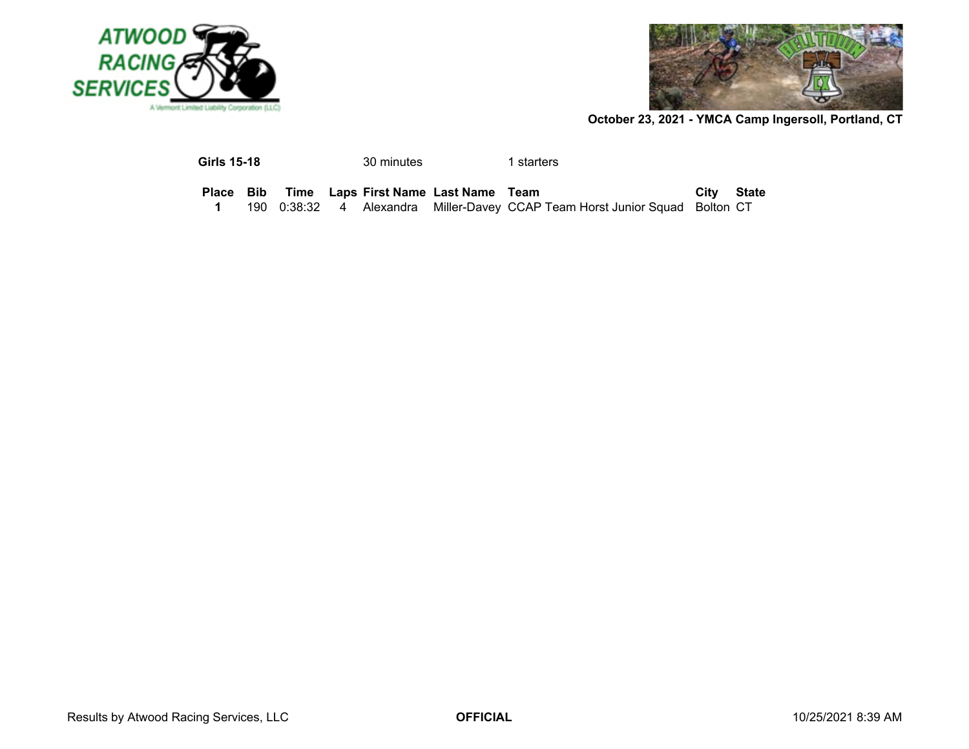



| <b>Girls 15-18</b> | 30 minutes | 1 starters |
|--------------------|------------|------------|
|                    |            |            |

|  |  | Place Bib Time Laps First Name Last Name Team |                                                                             | City State |  |
|--|--|-----------------------------------------------|-----------------------------------------------------------------------------|------------|--|
|  |  |                                               | 190 0:38:32 4 Alexandra Miller-Davey CCAP Team Horst Junior Squad Bolton CT |            |  |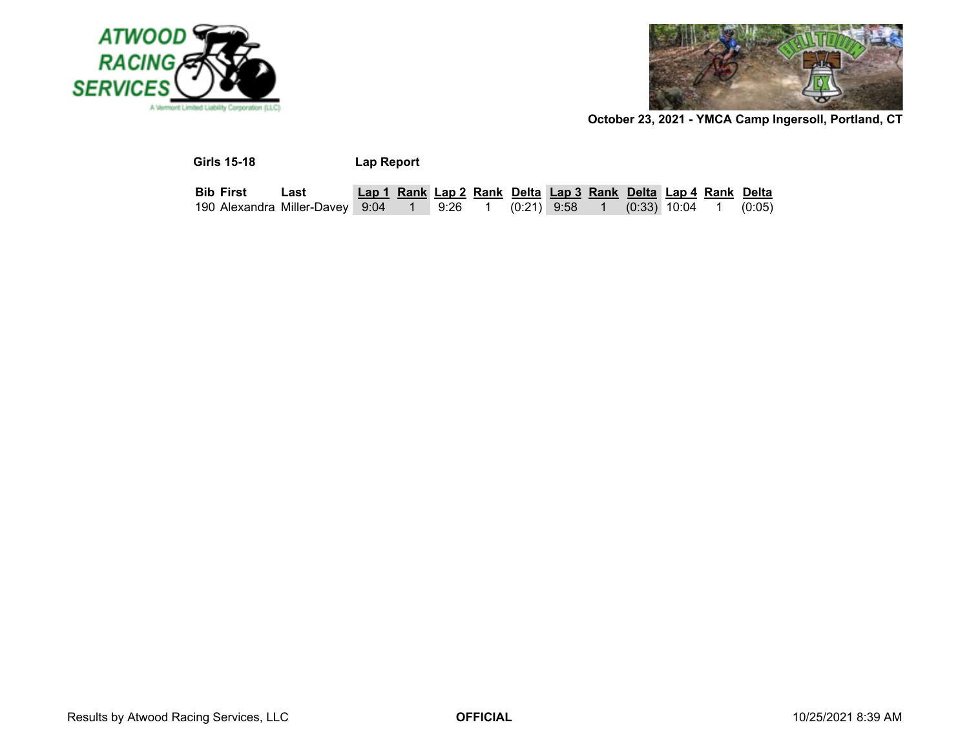



| <b>Girls 15-18</b>                                                           |      | Lap Report                                                    |  |  |  |  |        |
|------------------------------------------------------------------------------|------|---------------------------------------------------------------|--|--|--|--|--------|
| <b>Bib First</b>                                                             | Last | Lap 1 Rank Lap 2 Rank Delta Lap 3 Rank Delta Lap 4 Rank Delta |  |  |  |  |        |
| 190 Alexandra Miller-Davey 9:04  1  9:26  1  (0:21) 9:58  1  (0:33) 10:04  1 |      |                                                               |  |  |  |  | (0:05) |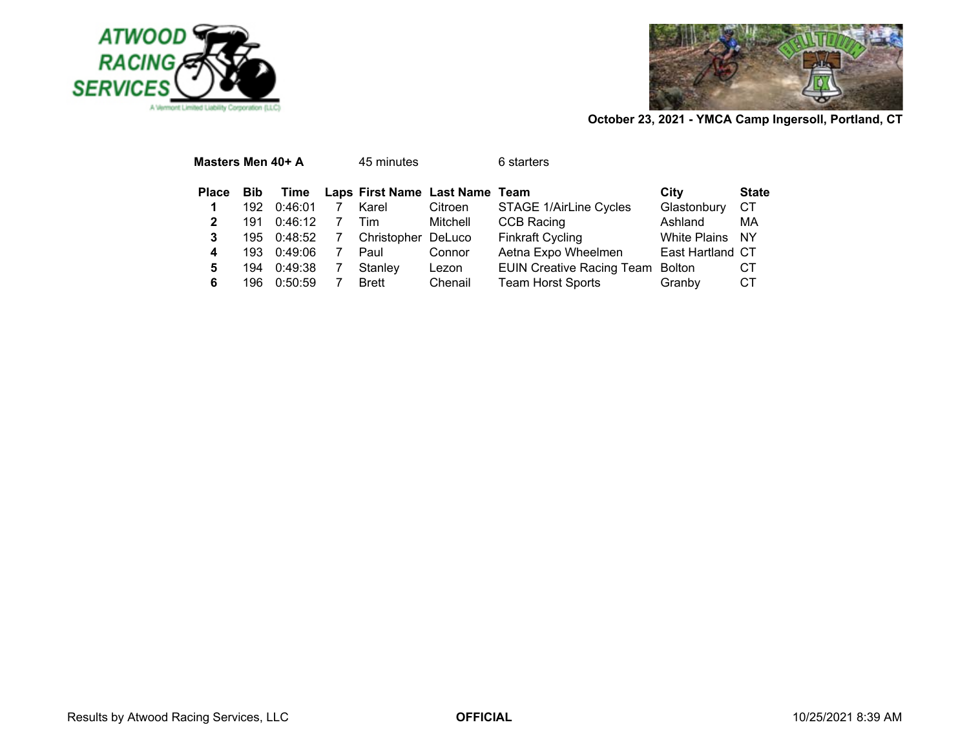



| Masters Men 40+ A |            |         | 45 minutes                     |          | 6 starters                       |                     |              |
|-------------------|------------|---------|--------------------------------|----------|----------------------------------|---------------------|--------------|
| <b>Place</b>      | <b>Bib</b> | Time    | Laps First Name Last Name Team |          |                                  | City                | <b>State</b> |
| 1                 | 192        | 0:46:01 | Karel                          | Citroen  | STAGE 1/AirLine Cycles           | Glastonbury         | СT           |
| 2                 | 191        | 0:46:12 | Tim                            | Mitchell | <b>CCB Racing</b>                | Ashland             | МA           |
| 3                 | 195.       | 0:48:52 | Christopher DeLuco             |          | <b>Finkraft Cycling</b>          | <b>White Plains</b> | NY.          |
| 4                 | 193.       | 0:49:06 | Paul                           | Connor   | Aetna Expo Wheelmen              | East Hartland CT    |              |
| 5                 | 194        | 0:49:38 | Stanley                        | Lezon    | <b>EUIN Creative Racing Team</b> | <b>Bolton</b>       | CТ           |
| 6                 | 196        | 0:50:59 | <b>Brett</b>                   | Chenail  | <b>Team Horst Sports</b>         | Granby              | CТ           |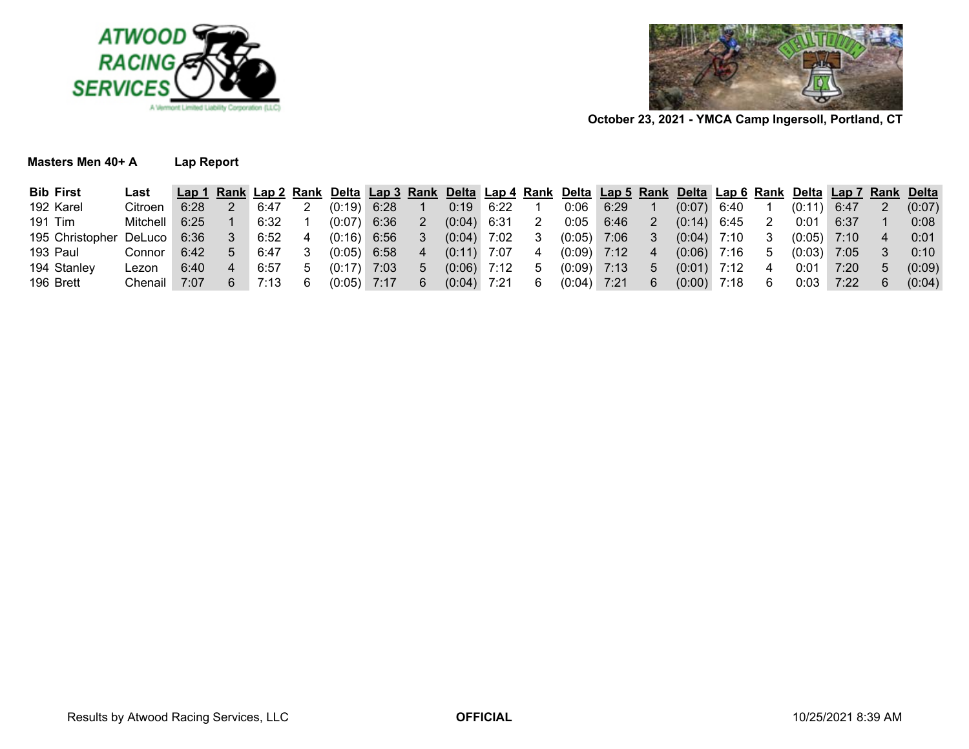



### **Masters Men 40+ A**

| Α | <b>Lap Report</b> |  |  |  |
|---|-------------------|--|--|--|
|---|-------------------|--|--|--|

| <b>Bib First</b> | Last     | Lap 1 |      |        |      |   | Rank Lap 2 Rank Delta Lap 3 Rank Delta Lap 4 Rank Delta Lap 5 Rank Delta Lap 6 Rank |      |   |        |      |              |               |      |        | Delta Lap 7 |   | <b>Rank Delta</b> |
|------------------|----------|-------|------|--------|------|---|-------------------------------------------------------------------------------------|------|---|--------|------|--------------|---------------|------|--------|-------------|---|-------------------|
| 192 Karel        | Citroen  | 6:28  | 6:47 | (0:19) | 6:28 |   | 0:19                                                                                | 6:22 |   | 0:06   | 6:29 |              | (0:07)        | 6:40 |        | 6:47        |   | (0:07)            |
| 191 Tim          | Mitchell | 6:25  | 6:32 | (0:07) | 6:36 |   | (0.04)                                                                              | 6:31 |   | 0:05   | 6:46 |              | $(0:14)$ 6:45 |      | 0:01   | 6:37        |   | 0:08              |
| 195 Christopher  | DeLuco   | 6:36  | 6:52 | (0:16) | 6:56 |   | (0:04)                                                                              | 7:02 |   | (0:05) | 7:06 |              | (0:04)        | 7:10 | (0:05) | 7:10        |   | 0:01              |
| 193 Paul         | Connor   | 6:42  | 6:47 | (0:05) | 6:58 | 4 | $(0:11)$ 7:07                                                                       |      |   | (0:09) | 7:12 |              | (0:06)        | 7:16 | (0:03) | 7:05        |   | $0:10^{-5}$       |
| 194 Stanley      | Lezon    | 6:40  | 6:57 |        | 7:03 | 5 | (0.06)                                                                              | 7:12 | G | (0:09) | 7:13 | <sub>5</sub> | (0:01)        | 7:12 | 0:01   | 7:20        | 5 | (0:09)            |
| 196 Brett        | Chenail  | 7:07  |      | (0:05) | 7:17 | 6 | (0:04)                                                                              | 7:21 |   | (0:04) | 7:21 | 6            | (0:00)        | 7:18 | 0:03   | 7:22        |   | (0:04)            |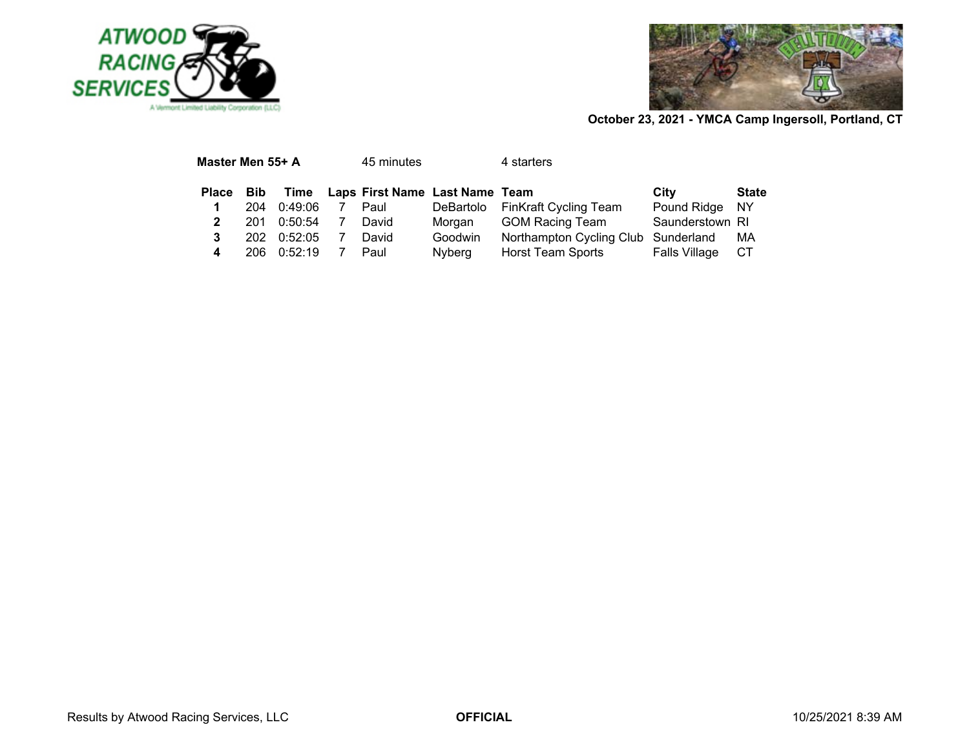



| Master Men 55+ A |     |         | 45 minutes                          |         | 4 starters                          |                 |              |
|------------------|-----|---------|-------------------------------------|---------|-------------------------------------|-----------------|--------------|
| Place            | Bib |         | Time Laps First Name Last Name Team |         |                                     | City            | <b>State</b> |
| 1                | 204 | 0:49:06 | Paul                                |         | DeBartolo FinKraft Cycling Team     | Pound Ridge NY  |              |
| 2                | 201 | 0:50:54 | David                               | Morgan  | GOM Racing Team                     | Saunderstown RI |              |
| 3                | 202 | 0:52:05 | David                               | Goodwin | Northampton Cycling Club Sunderland |                 | MA           |
| 4                | 206 | 0:52:19 | Paul                                | Nyberg  | Horst Team Sports                   | Falls Village   | CT.          |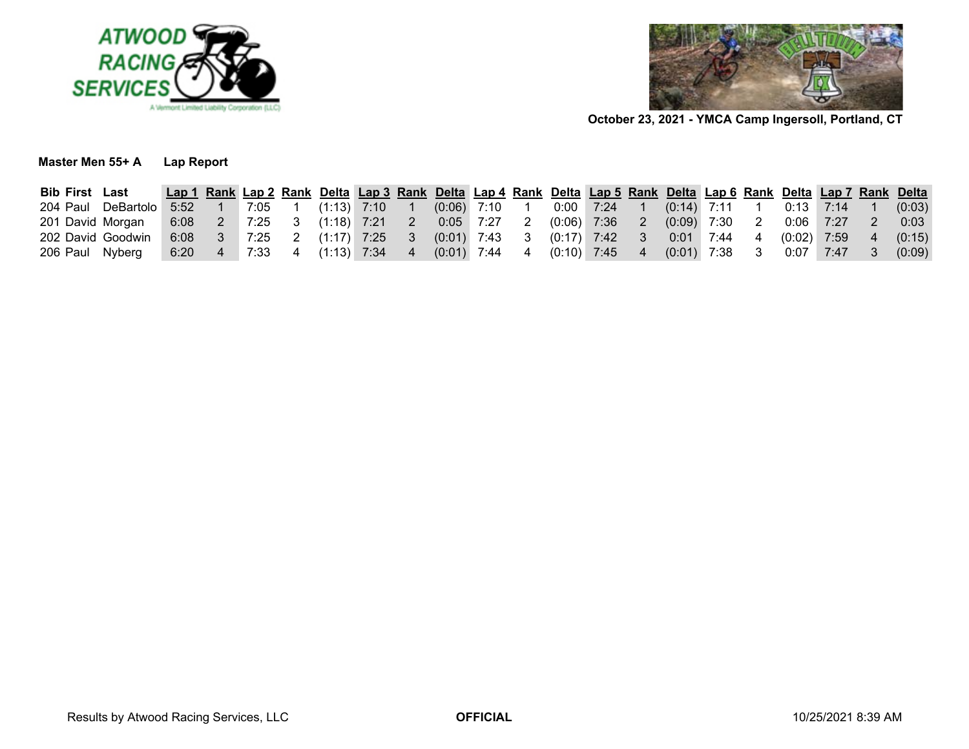



**Master Men 55+ ALap Report**

| <b>Bib First Last</b> |                    |      |      |                             |                                                                           |    | Lap 1 Rank Lap 2 Rank Delta Lap 3 Rank Delta Lap 4 Rank Delta Lap 5 Rank Delta Lap 6 Rank Delta Lap 7 Rank Delta |    |               |                              |  |                 |  |                 |                |        |
|-----------------------|--------------------|------|------|-----------------------------|---------------------------------------------------------------------------|----|------------------------------------------------------------------------------------------------------------------|----|---------------|------------------------------|--|-----------------|--|-----------------|----------------|--------|
|                       | 204 Paul DeBartolo |      |      |                             | $\begin{array}{cccc} 5.52 & 1 & 7.05 & 1 & (1.13) & 7.10 & 1 \end{array}$ |    | $(0.06)$ 7:10 1                                                                                                  |    |               | 0:00 7:24 1                  |  | $(0.14)$ 7:11 1 |  | $0:13$ 7:14     |                | (0:03) |
| 201 David Morgan      |                    |      |      | $6:08$ 2 7:25 3 (1:18) 7:21 |                                                                           | -2 | $0:05$ 7:27                                                                                                      | -2 | $(0.06)$ 7:36 |                              |  | $(0.09)$ 7:30   |  | $0:06$ 7:27     | $\overline{2}$ | 0:03   |
| 202 David Goodwin     |                    |      |      |                             | $6.08$ 3 7:25 2 (1:17) 7:25 3                                             |    | $(0.01)$ 7:43 3                                                                                                  |    |               | (0:17) 7:42  3               |  | $0:01$ 7:44 4   |  | $(0:02)$ 7:59 4 |                | (0:15) |
| 206 Paul Nyberg       |                    | 6:20 | 7:33 |                             | 4 (1:13) 7:34 4                                                           |    | $(0:01)$ 7:44                                                                                                    |    |               | $(0:10)$ 7:45 $\overline{ }$ |  | $(0:01)$ 7:38   |  | $0:07$ 7:47     | -3             | (0:09) |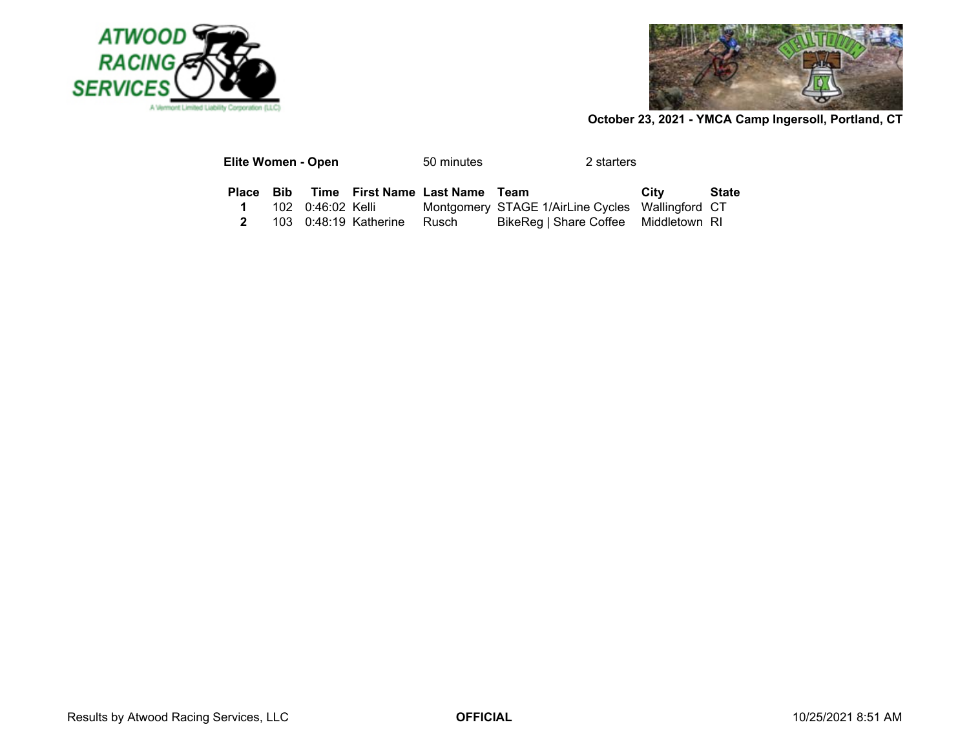



| Elite Women - Open |  |                       | 50 minutes                               | 2 starters                                       |      |              |
|--------------------|--|-----------------------|------------------------------------------|--------------------------------------------------|------|--------------|
|                    |  |                       | Place Bib Time First Name Last Name Team |                                                  | City | <b>State</b> |
| $\mathbf 1$        |  |                       |                                          | Montgomery STAGE 1/AirLine Cycles Wallingford CT |      |              |
| $\mathbf{2}$       |  | 103 0:48:19 Katherine | Rusch                                    | BikeReg   Share Coffee Middletown RI             |      |              |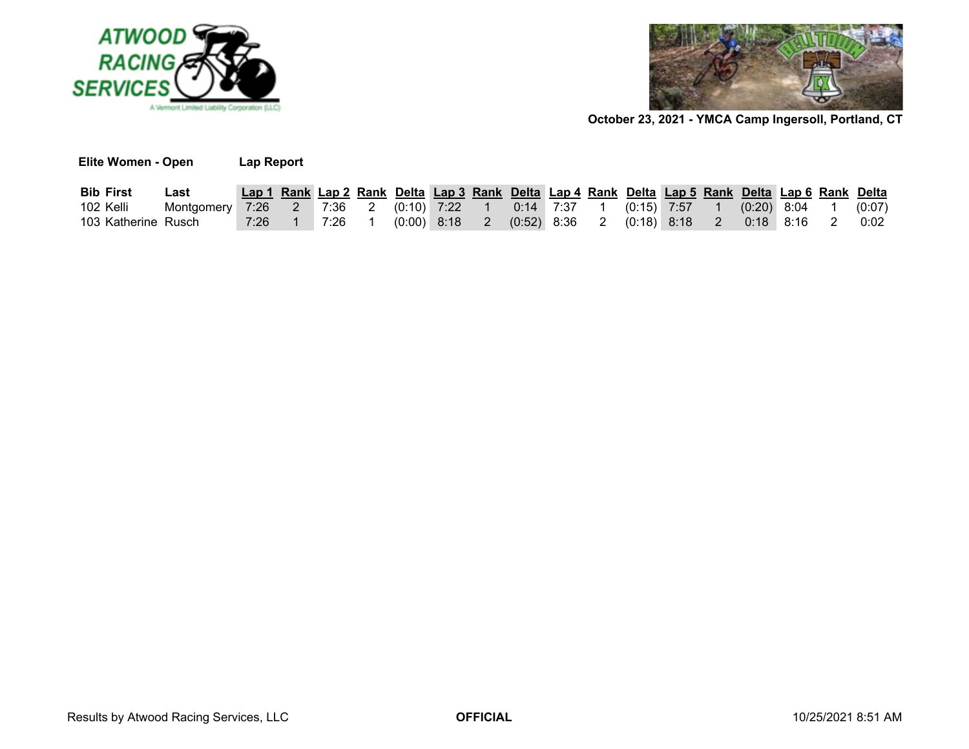

**Elite Women - Open Lap Report**



| <b>Bib First</b>    | ∟ast                                                                                       | Lap 1 Rank Lap 2 Rank Delta Lap 3 Rank Delta Lap 4 Rank Delta Lap 5 Rank Delta Lap 6 Rank Delta |        |        |  |  |  |  |  |                                                                                 |  |        |
|---------------------|--------------------------------------------------------------------------------------------|-------------------------------------------------------------------------------------------------|--------|--------|--|--|--|--|--|---------------------------------------------------------------------------------|--|--------|
| 102 Kelli           | Montgomery 7:26  2  7:36  2  (0:10) 7:22  1  0:14  7:37  1  (0:15) 7:57  1  (0:20) 8:04  1 |                                                                                                 |        |        |  |  |  |  |  |                                                                                 |  | (0:07) |
| 103 Katherine Rusch |                                                                                            |                                                                                                 | 7:26 1 | 7:26 1 |  |  |  |  |  | $(0.00)$ 8:18    2    (0:52) 8:36    2    (0:18) 8:18    2    0:18    8:16    2 |  | 0:02   |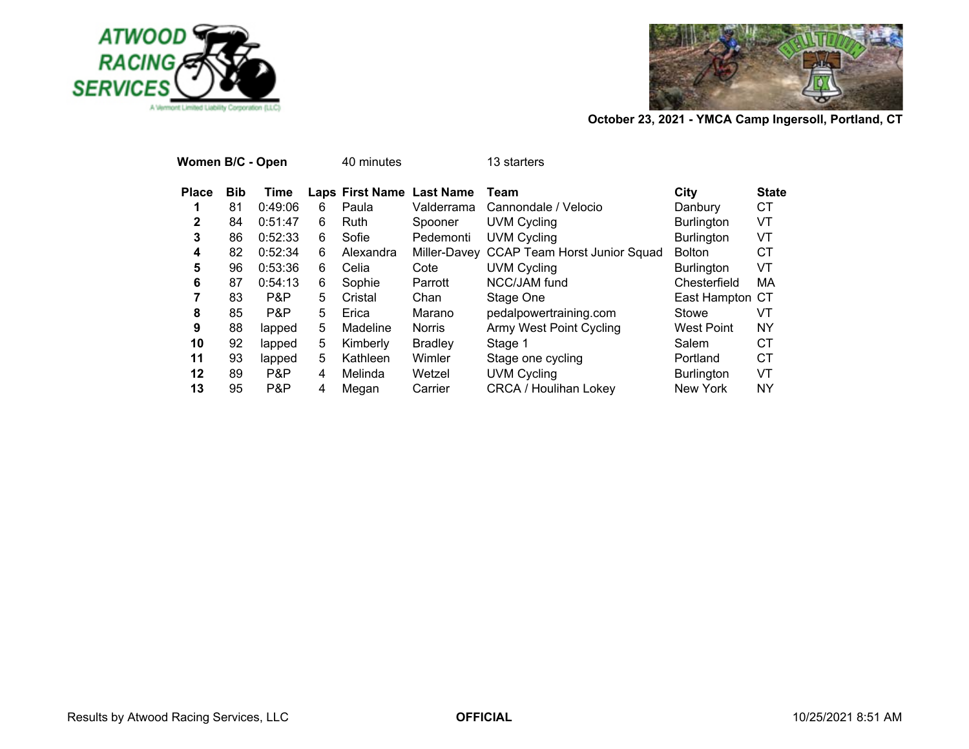



| Women B/C - Open |            |         |    | 40 minutes                |                | 13 starters                               |                   |              |
|------------------|------------|---------|----|---------------------------|----------------|-------------------------------------------|-------------------|--------------|
| <b>Place</b>     | <b>Bib</b> | Time    |    | Laps First Name Last Name |                | Team                                      | City              | <b>State</b> |
|                  | 81         | 0:49:06 | 6  | Paula                     | Valderrama     | Cannondale / Velocio                      | Danbury           | СT           |
| $\mathbf{2}$     | 84         | 0:51:47 | 6  | Ruth                      | Spooner        | <b>UVM Cycling</b>                        | <b>Burlington</b> | VT           |
| 3                | 86         | 0:52:33 | 6  | Sofie                     | Pedemonti      | <b>UVM Cycling</b>                        | <b>Burlington</b> | VT           |
| 4                | 82         | 0:52:34 | 6  | Alexandra                 |                | Miller-Davey CCAP Team Horst Junior Squad | <b>Bolton</b>     | СT           |
| 5                | 96         | 0:53:36 | 6  | Celia                     | Cote           | <b>UVM Cycling</b>                        | <b>Burlington</b> | VT           |
| 6                | 87         | 0:54:13 | 6  | Sophie                    | Parrott        | NCC/JAM fund                              | Chesterfield      | МA           |
| 7                | 83         | P&P     | 5  | Cristal                   | Chan           | Stage One                                 | East Hampton CT   |              |
| 8                | 85         | P&P     | 5. | Erica                     | Marano         | pedalpowertraining.com                    | Stowe             | VT           |
| 9                | 88         | lapped  | 5  | Madeline                  | <b>Norris</b>  | <b>Army West Point Cycling</b>            | West Point        | NY           |
| 10               | 92         | lapped  | 5  | Kimberly                  | <b>Bradley</b> | Stage 1                                   | Salem             | СT           |
| 11               | 93         | lapped  | 5  | Kathleen                  | Wimler         | Stage one cycling                         | Portland          | СT           |
| 12               | 89         | P&P     | 4  | Melinda                   | Wetzel         | <b>UVM Cycling</b>                        | <b>Burlington</b> | VT           |
| 13               | 95         | P&P     | 4  | Megan                     | Carrier        | <b>CRCA / Houlihan Lokey</b>              | <b>New York</b>   | NY           |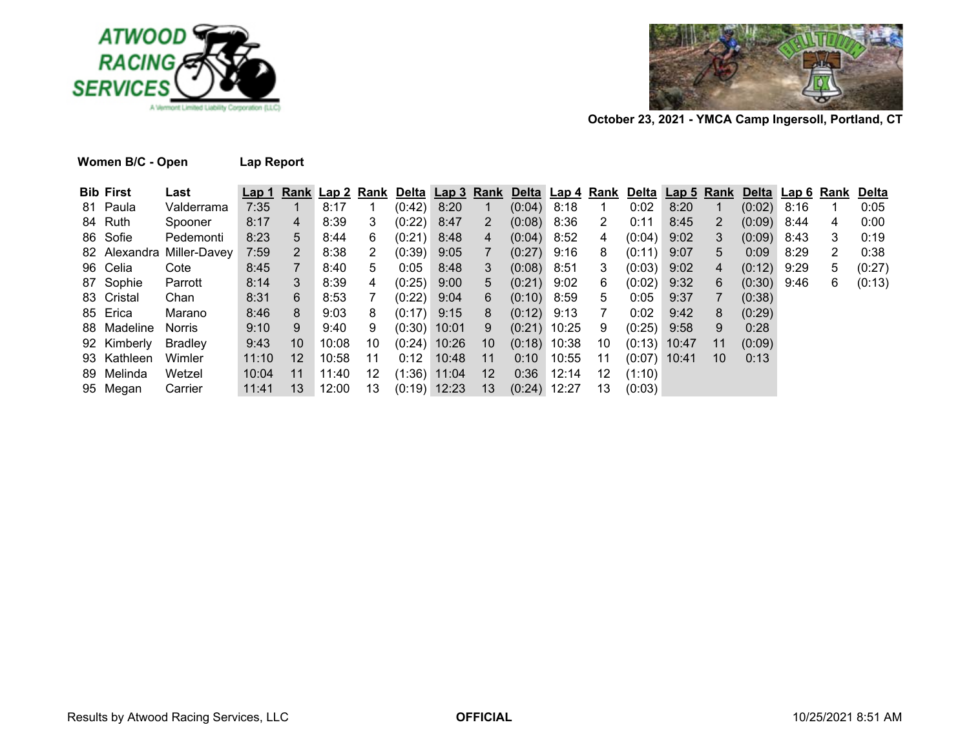



| Women B/C - Open | <b>Lap Report</b> |
|------------------|-------------------|
|------------------|-------------------|

| <b>Bib First</b> | Last                      | Lap <sub>1</sub> |                 | Rank Lap 2 Rank Delta Lap 3 Rank Delta Lap 4 Rank Delta Lap 5 Rank Delta Lap 6 Rank |     |                |                |                 |                |              |              |                |      |     |               |      |   | <b>Delta</b> |
|------------------|---------------------------|------------------|-----------------|-------------------------------------------------------------------------------------|-----|----------------|----------------|-----------------|----------------|--------------|--------------|----------------|------|-----|---------------|------|---|--------------|
| 81 Paula         | Valderrama                | 7:35             |                 | 8:17                                                                                |     | (0:42)         | 8:20           |                 | $(0.04)$ 8:18  |              | -1           | 0:02           | 8:20 |     | $(0.02)$ 8:16 |      |   | 0:05         |
| 84 Ruth          | Spooner                   | 8:17             | $\overline{4}$  | 8:39                                                                                | 3   | (0:22)         | 8:47           | $\overline{2}$  | $(0.08)$ 8:36  |              | 2            | 0:11           | 8:45 | 2   | $(0.09)$ 8:44 |      | 4 | 0:00         |
| 86 Sofie         | Pedemonti                 | 8:23             | 5               | 8:44                                                                                | 6   | (0:21)         | 8:48           | 4               | $(0.04)$ 8:52  |              | 4            | $(0:04)$ 9:02  |      | 3   | (0:09)        | 8:43 | 3 | 0:19         |
|                  | 82 Alexandra Miller-Davey | 7:59             | 2               | 8:38                                                                                | 2   | (0:39)         | 9:05           |                 | $(0:27)$ 9:16  |              | 8            | $(0:11)$ 9:07  |      | 5.  | 0:09          | 8:29 | 2 | 0:38         |
| 96 Celia         | Cote                      | 8:45             | $7^{\circ}$     | 8:40                                                                                | 5   | 0:05           | 8:48           | 3               | $(0:08)$ 8:51  |              | 3            | $(0:03)$ 9:02  |      | 4   | $(0:12)$ 9:29 |      | 5 | (0:27)       |
| 87 Sophie        | Parrott                   | 8:14             | 3               | 8:39                                                                                | 4   | (0:25)         | 9:00           | 5               | $(0:21)$ 9:02  |              | 6            | $(0:02)$ 9:32  |      | 6   | $(0:30)$ 9:46 |      | 6 | (0:13)       |
| 83 Cristal       | Chan                      | 8:31             | 6               | 8:53                                                                                |     | (0:22)         | 9:04           | 6               | $(0:10)$ 8:59  |              | 5            | 0:05           | 9:37 |     | (0:38)        |      |   |              |
| 85 Erica         | Marano                    | 8:46             | 8               | 9:03                                                                                | 8   | $(0:17)$ 9:15  |                | 8               | $(0:12)$ 9:13  |              | $\mathbf{7}$ | 0:02           | 9:42 | 8   | (0:29)        |      |   |              |
| 88 Madeline      | Norris                    | 9:10             | 9               | 9:40                                                                                | 9   | $(0:30)$ 10:01 |                | 9               | $(0:21)$ 10:25 |              | 9            | $(0.25)$ 9.58  |      | 9   | 0:28          |      |   |              |
| 92 Kimberly      | Bradley                   | 9:43             | 10              | 10:08                                                                               | 10  |                | $(0:24)$ 10:26 | 10              | $(0:18)$ 10:38 |              | 10           | $(0:13)$ 10:47 |      | -11 | (0:09)        |      |   |              |
| 93 Kathleen      | Wimler                    | 11:10            | 12 <sup>°</sup> | 10:58                                                                               | -11 | 0:12           | 10:48          | 11              |                | $0:10$ 10:55 | 11           | $(0:07)$ 10:41 |      | -10 | 0:13          |      |   |              |
| 89 Melinda       | Wetzel                    | 10:04            | -11             | 11:40                                                                               | 12  |                | $(1:36)$ 11:04 | 12 <sup>2</sup> |                | $0:36$ 12:14 | 12           | (1:10)         |      |     |               |      |   |              |
| 95 Megan         | Carrier                   | 11:41            | -13             | 12:00                                                                               | 13  |                | $(0:19)$ 12:23 | 13              | $(0:24)$ 12:27 |              | 13           | (0:03)         |      |     |               |      |   |              |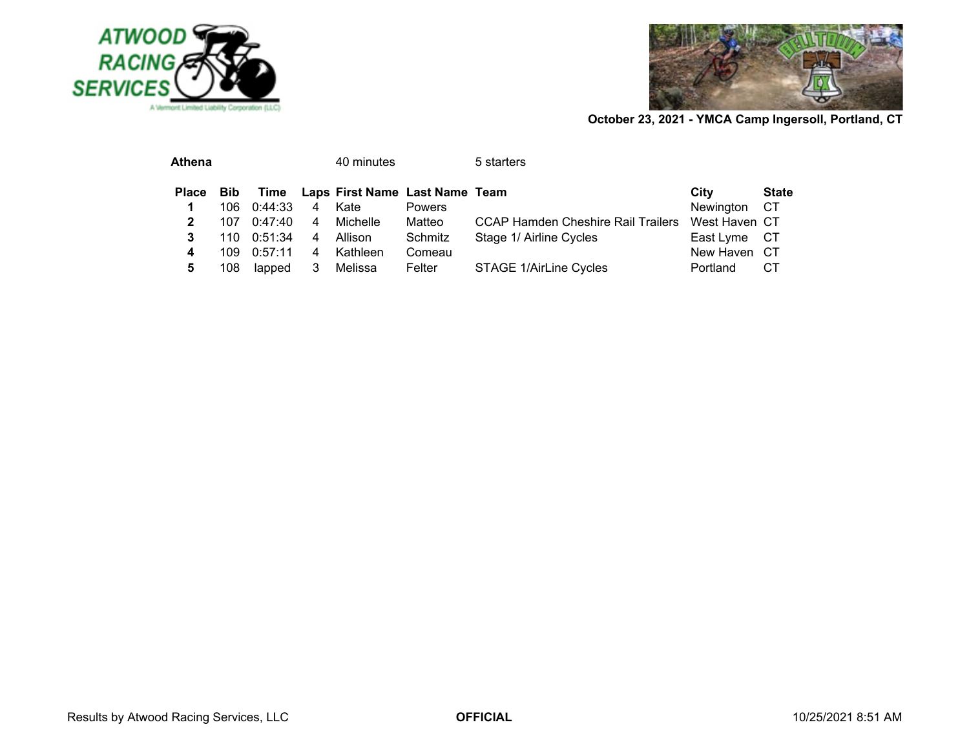



| <b>Athena</b> |      |         |                | 40 minutes                          |               | 5 starters                         |               |              |
|---------------|------|---------|----------------|-------------------------------------|---------------|------------------------------------|---------------|--------------|
| Place Bib     |      |         |                | Time Laps First Name Last Name Team |               |                                    | City          | <b>State</b> |
|               | 106. | 0:44:33 | $\overline{4}$ | Kate                                | <b>Powers</b> |                                    | Newington CT  |              |
| 2             | 107  | 0:47:40 | 4              | Michelle                            | Matteo        | CCAP Hamden Cheshire Rail Trailers | West Haven CT |              |
| 3             | 110  | 0:51:34 | 4              | Allison                             | Schmitz       | Stage 1/ Airline Cycles            | East Lyme CT  |              |
| 4             | 109. | 0:57:11 | 4              | Kathleen                            | Comeau        |                                    | New Haven CT  |              |
| 5             | 108  | lapped  | 3              | Melissa                             | Felter        | STAGE 1/AirLine Cycles             | Portland      | CТ           |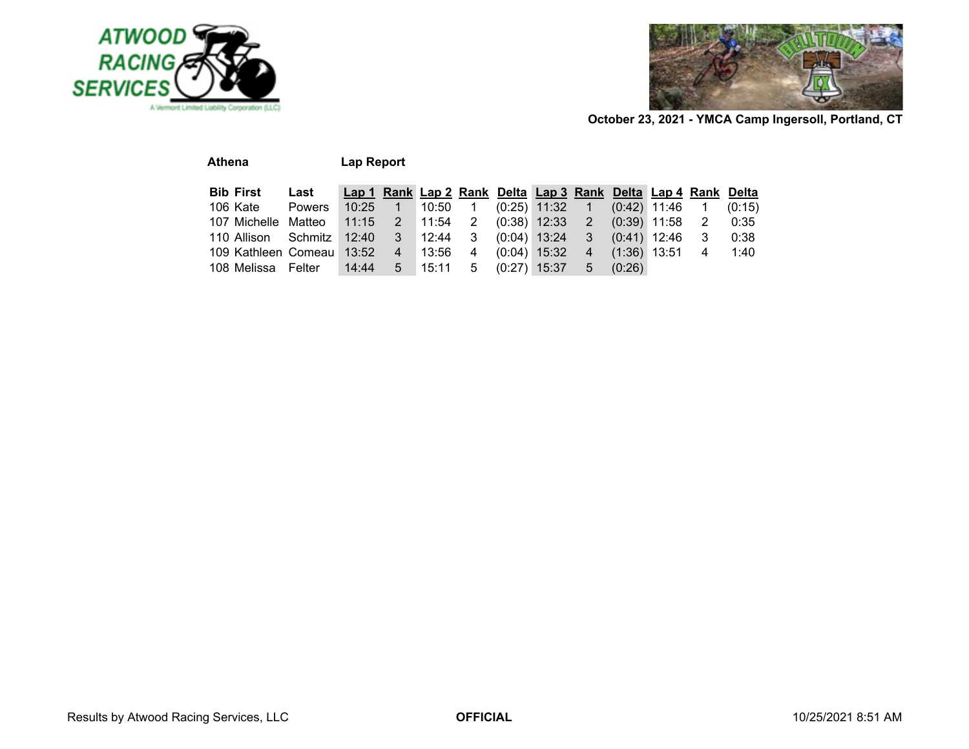



| <b>Athena</b>       |         | Lap Report |   |       |   |                |                                                               |                |                |                |   |        |
|---------------------|---------|------------|---|-------|---|----------------|---------------------------------------------------------------|----------------|----------------|----------------|---|--------|
| <b>Bib First</b>    | Last    |            |   |       |   |                | Lap 1 Rank Lap 2 Rank Delta Lap 3 Rank Delta Lap 4 Rank Delta |                |                |                |   |        |
| 106 Kate            | Powers  | 10:25      |   | 10:50 |   |                | $(0:25)$ 11:32                                                | $\sqrt{1}$     |                | $(0.42)$ 11:46 |   | (0:15) |
| 107 Michelle        | Matteo  | 11:15      | 2 | 11:54 | 2 |                | $(0:38)$ 12:33                                                | $\overline{2}$ | $(0.39)$ 11:58 |                | 2 | 0:35   |
| 110 Allison         | Schmitz | 12:40      | 3 | 12:44 | 3 |                | $(0:04)$ 13:24                                                | 3              |                | $(0.41)$ 12:46 | 3 | 0:38   |
| 109 Kathleen Comeau |         | 13:52      | 4 | 13:56 | 4 |                | $(0:04)$ 15:32                                                | $\overline{4}$ | $(1:36)$ 13:51 |                | 4 | 1:40   |
| 108 Melissa         | Felter  | 14:44      | 5 | 15:11 | 5 | $(0:27)$ 15:37 |                                                               | 5              | (0:26)         |                |   |        |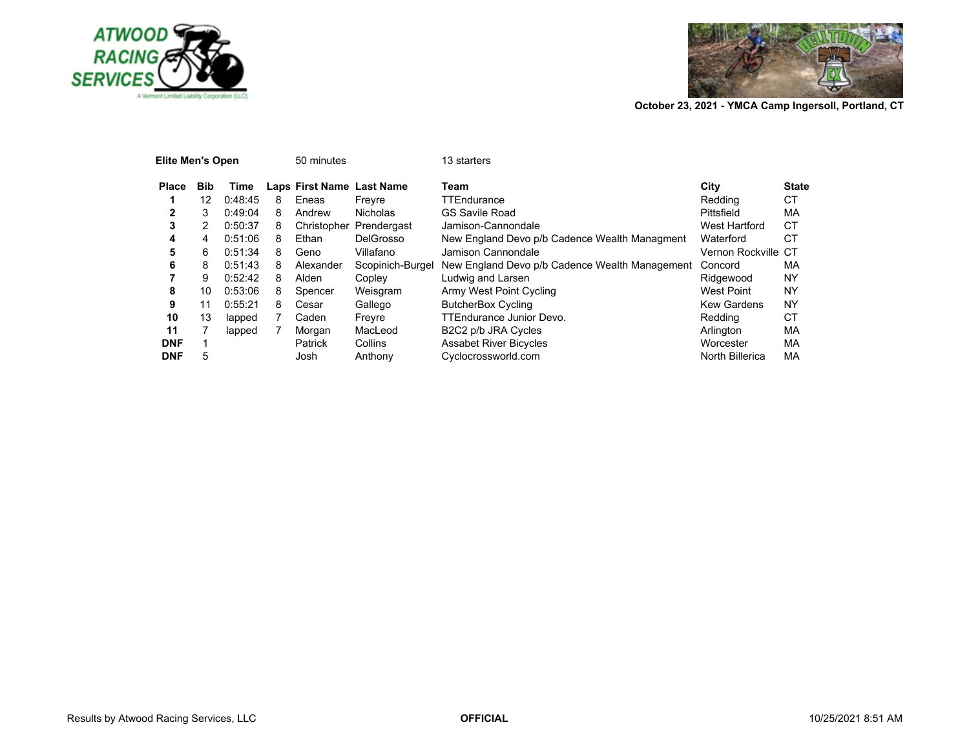



| Elite Men's Open |            |         |   | 50 minutes                |                  | 13 starters                                    |                     |              |
|------------------|------------|---------|---|---------------------------|------------------|------------------------------------------------|---------------------|--------------|
| <b>Place</b>     | <b>Bib</b> | Time    |   | Laps First Name Last Name |                  | Team                                           | City                | <b>State</b> |
|                  | 12         | 0:48:45 | 8 | Eneas                     | Freyre           | TTEndurance                                    | Redding             | <b>CT</b>    |
| 2                | 3          | 0:49:04 | 8 | Andrew                    | <b>Nicholas</b>  | <b>GS Savile Road</b>                          | Pittsfield          | МA           |
| 3                | 2          | 0:50:37 | 8 | Christopher               | Prendergast      | Jamison-Cannondale                             | West Hartford       | СT           |
| 4                | 4          | 0:51:06 | 8 | Ethan                     | DelGrosso        | New England Devo p/b Cadence Wealth Managment  | Waterford           | СT           |
| 5                | 6          | 0:51:34 | 8 | Geno                      | Villafano        | Jamison Cannondale                             | Vernon Rockville CT |              |
| 6                | 8          | 0:51:43 | 8 | Alexander                 | Scopinich-Burgel | New England Devo p/b Cadence Wealth Management | Concord             | МA           |
|                  | 9          | 0:52:42 | 8 | Alden                     | Copley           | Ludwig and Larsen                              | Ridgewood           | NY           |
| 8                | 10         | 0:53:06 | 8 | Spencer                   | Weisgram         | Army West Point Cycling                        | <b>West Point</b>   | NY           |
| 9                | 11         | 0:55:21 | 8 | Cesar                     | Gallego          | <b>ButcherBox Cycling</b>                      | <b>Kew Gardens</b>  | NY           |
| 10               | 13         | lapped  |   | Caden                     | Freyre           | <b>TTEndurance Junior Devo.</b>                | Redding             | СT           |
| 11               |            | lapped  |   | Morgan                    | MacLeod          | B2C2 p/b JRA Cycles                            | Arlington           | МA           |
| <b>DNF</b>       |            |         |   | Patrick                   | Collins          | <b>Assabet River Bicycles</b>                  | Worcester           | МA           |
| <b>DNF</b>       | 5          |         |   | Josh                      | Anthony          | Cyclocrossworld.com                            | North Billerica     | MA           |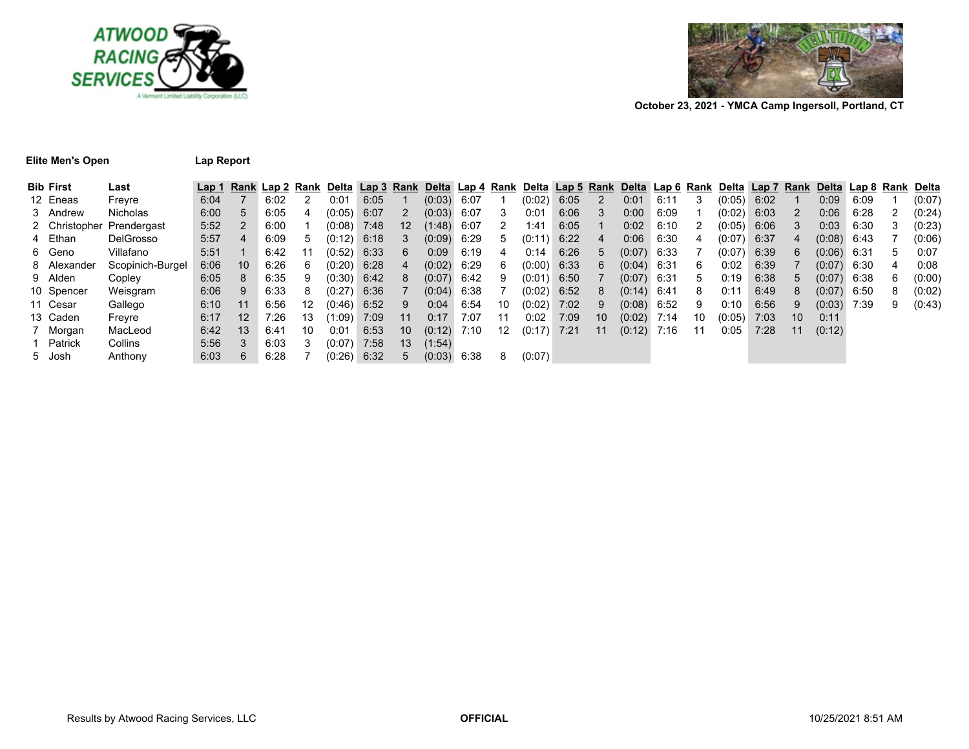



### **Elite Men's Open Lap Report**

| Bib First   | Last                      | Lap 1 |         |      |             | Rank Lap 2 Rank Delta Lap 3 Rank Delta Lap 4 Rank Delta Lap 5 Rank Delta Lap 6 Rank Delta Lap 7 Rank Delta Lap 8 Rank Delta |      |                 |               |      |             |        |      |    |               |      |       |             |      |    |               |      |    |        |
|-------------|---------------------------|-------|---------|------|-------------|-----------------------------------------------------------------------------------------------------------------------------|------|-----------------|---------------|------|-------------|--------|------|----|---------------|------|-------|-------------|------|----|---------------|------|----|--------|
| 12 Eneas    | Frevre                    | 6:04  |         | 6:02 |             | 0:01                                                                                                                        | 6:05 |                 | (0:03)        | 6:07 |             | (0:02) | 6:05 |    | 0:01          | 6:11 |       | (0:05)      | 6:02 |    | 0:09          | 6:09 |    | (0:07) |
| 3 Andrew    | Nicholas                  | 6:00  | 5       | 6:05 | 4           | (0:05)                                                                                                                      | 6:07 |                 | (0:03)        | 6:07 | 3           | 0:01   | 6:06 | 3  | 0:00          | 6:09 |       | (0:02)      | 6:03 | 2  | 0:06          | 6:28 |    | (0:24) |
|             | 2 Christopher Prendergast | 5:52  |         | 6:00 |             | (0:08)                                                                                                                      | 7:48 | 12              | (1:48)        | 6:07 | 2           | 1:41   | 6:05 |    | 0:02          | 6:10 | 2     | (0:05)      | 6:06 | 3  | 0:03          | 6:30 | 3  | (0:23) |
| 4 Ethan     | <b>DelGrosso</b>          | 5:57  | 4       | 6:09 | $5^{\circ}$ | (0:12)                                                                                                                      | 6:18 | 3               | (0:09)        | 6:29 | $5^{\circ}$ | (0:11) | 6:22 | 4  | 0:06          | 6:30 | 4     | (0:07)      | 6:37 | 4  | $(0.08)$ 6:43 |      |    | (0:06) |
| 6 Geno      | Villafano                 | 5:51  |         | 6:42 |             | (0:52)                                                                                                                      | 6:33 | 6               | 0:09          | 6:19 | 4           | 0:14   | 6:26 | 5  | (0:07)        | 6:33 |       | (0:07)      | 6:39 | 6. | $(0.06)$ 6:31 |      | ٠h | 0:07   |
| 8 Alexander | Scopinich-Burgel          | 6:06  | 10      | 6:26 | 6           | (0:20)                                                                                                                      | 6:28 | $\overline{4}$  | (0:02)        | 6:29 | 6           | (0:00) | 6:33 | 6  | $(0.04)$ 6:31 |      | 6     | 0:02        | 6:39 |    | $(0.07)$ 6:30 |      | 4  | 0:08   |
| 9 Alden     | Copley                    | 6:05  | 8       | 6:35 |             | (0:30)                                                                                                                      | 6:42 | 8               | $(0.07)$ 6:42 |      | 9           | (0:01) | 6:50 |    | $(0.07)$ 6:31 |      | $5 -$ | 0:19        | 6:38 | 5  | $(0.07)$ 6:38 |      | 6  | (0:00) |
| 10 Spencer  | Weisgram                  | 6:06  | 9       | 6:33 | 8           | (0:27)                                                                                                                      | 6:36 |                 | (0.04)        | 6:38 |             | (0:02) | 6:52 | 8  | $(0.14)$ 6:41 |      | 8     | 0:11        | 6:49 | 8  | $(0.07)$ 6:50 |      | 8  | (0:02) |
| 11 Cesar    | Gallego                   | 6:10  | 11      | 6:56 | 12          | (0:46)                                                                                                                      | 6:52 | 9               | 0:04          | 6:54 | 10          | (0:02) | 7:02 | 9  | (0:08)        | 6:52 | 9     | $0:10^{-5}$ | 6:56 | 9  | (0:03)        | 7:39 | 9  | (0:43) |
| 13 Caden    | Freyre                    | 6:17  | $12 \,$ | 7:26 | 13          | (1:09)                                                                                                                      | 7:09 | -11             | 0:17          | 7:07 | 11          | 0:02   | 7:09 | 10 | (0.02)        | 7:14 | 10    | (0:05)      | 7:03 | 10 | 0:11          |      |    |        |
| 7 Morgan    | MacLeod                   | 6:42  | 13      | 6:41 | 10          | 0:01                                                                                                                        | 6:53 | 10 <sup>°</sup> | (0:12)        | 7:10 | 12          | (0:17) | 7:21 | 11 | (0:12)        | 7:16 | 11    | 0:05        | 7:28 | 11 | (0:12)        |      |    |        |
| l Patrick   | Collins                   | 5:56  | 3       | 6:03 |             | (0:07)                                                                                                                      | 7:58 | 13              | (1:54)        |      |             |        |      |    |               |      |       |             |      |    |               |      |    |        |
| 5 Josh      | Anthony                   | 6:03  | 6       | 6:28 |             | (0:26)                                                                                                                      | 6:32 | $5^{\circ}$     | (0:03)        | 6:38 | 8           | (0:07) |      |    |               |      |       |             |      |    |               |      |    |        |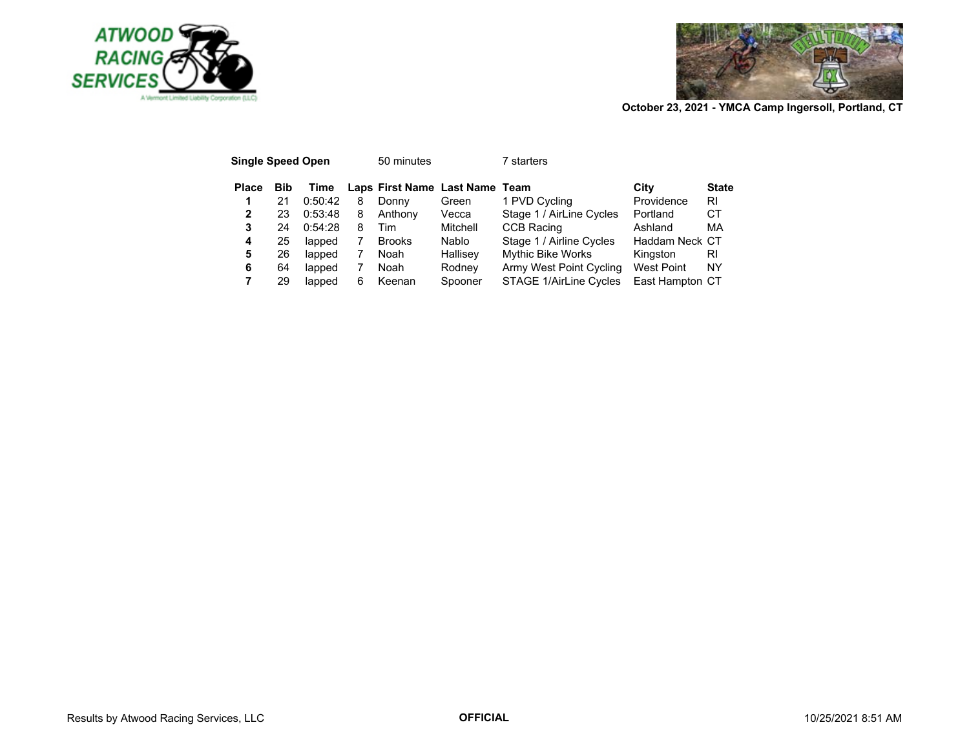



| <b>Single Speed Open</b> |     |         |   | 50 minutes                     |          | ˈ starters               |                   |              |
|--------------------------|-----|---------|---|--------------------------------|----------|--------------------------|-------------------|--------------|
| <b>Place</b>             | Bib | Time    |   | Laps First Name Last Name Team |          |                          | City              | <b>State</b> |
| 1                        | 21  | 0:50:42 | 8 | Donny                          | Green    | 1 PVD Cycling            | Providence        | RI           |
| 2                        | 23  | 0:53:48 | 8 | Anthony                        | Vecca    | Stage 1 / AirLine Cycles | Portland          | CТ           |
| 3                        | 24  | 0:54:28 | 8 | Tim                            | Mitchell | <b>CCB Racing</b>        | Ashland           | МA           |
| 4                        | 25  | lapped  |   | <b>Brooks</b>                  | Nablo    | Stage 1 / Airline Cycles | Haddam Neck CT    |              |
| 5                        | 26  | lapped  |   | Noah                           | Hallisey | <b>Mythic Bike Works</b> | Kingston          | RI           |
| 6                        | 64  | lapped  |   | Noah                           | Rodney   | Army West Point Cycling  | <b>West Point</b> | ΝY           |
|                          | 29  | lapped  | 6 | Keenan                         | Spooner  | STAGE 1/AirLine Cycles   | East Hampton CT   |              |
|                          |     |         |   |                                |          |                          |                   |              |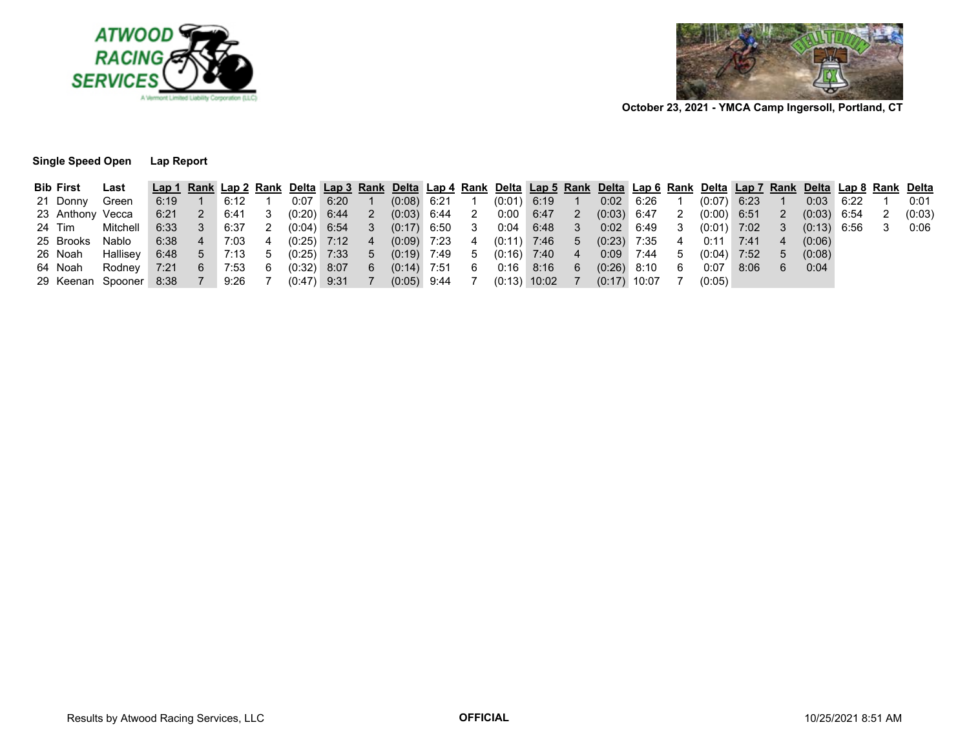



**October 23, 2021 - YMCA Camp Ingersoll, Portland, CT**

## **Single Speed Open Lap Report**

| <b>Bib First</b> | Last                                                                       |                 |                  |      |   | Lap 1 Rank Lap 2 Rank Delta Lap 3 Rank Delta Lap 4 Rank Delta Lap 5 Rank Delta Lap 6 Rank Delta Lap 7 Rank Delta Lap 8 Rank Delta |        |               |  |                                 |    |                  |                |                               |      |                |                      |  |        |
|------------------|----------------------------------------------------------------------------|-----------------|------------------|------|---|-----------------------------------------------------------------------------------------------------------------------------------|--------|---------------|--|---------------------------------|----|------------------|----------------|-------------------------------|------|----------------|----------------------|--|--------|
| 21 Donny         | Green                                                                      | 6:19            |                  | 6:12 |   | 0:07                                                                                                                              | 6:20 1 |               |  | $(0.08)$ 6:21 1 $(0.01)$ 6:19 1 |    | $0:02$ 6:26 1    |                | $(0:07)$ 6:23 1               |      |                | $0:03$ 6:22          |  | 0:01   |
| 23 Anthony Vecca |                                                                            |                 | 6:21  2  6:41  3 |      |   | $(0:20)$ 6:44 2 $(0:03)$ 6:44 2 0:00 6:47 2                                                                                       |        |               |  |                                 |    |                  |                | $(0.03)$ 6:47 2 $(0.00)$ 6:51 |      | $\overline{2}$ | $(0.03)$ 6:54        |  | (0:03) |
| 24 Tim           | Mitchell                                                                   |                 |                  |      |   | 6:33    3    6:37    2    (0:04)    6:54    3    (0:17)    6:50    3    0:04    6:48    3                                         |        |               |  |                                 |    |                  |                | 0:02 6:49 3 (0:01) 7:02       |      | 3 <sup>1</sup> | $(0.13)$ 6.56 3 0.06 |  |        |
|                  | 25 Brooks Nablo                                                            | $6:38$ 4 7:03 4 |                  |      |   | $(0.25)$ 7:12 4 $(0.09)$ 7:23                                                                                                     |        |               |  | 4 (0:11) 7:46 5                 |    | $(0.23)$ 7:35    | $\overline{4}$ | $0:11$ 7:41 4                 |      |                | (0:06)               |  |        |
| 26 Noah          | Hallisey                                                                   | $6:48$ 5 7:13   |                  |      |   | 5 (0:25) 7:33 5 (0:19) 7:49 5 (0:16) 7:40 4                                                                                       |        |               |  |                                 |    | $0:09$ 7:44      | $\cdot$ 5.     | $(0.04)$ 7:52                 |      | 5 <sup>5</sup> | (0:08)               |  |        |
| 64 Noah          | Rodney 7:21 6 7:53                                                         |                 |                  |      | 6 | $(0.32)$ 8:07                                                                                                                     |        | 6 (0:14) 7:51 |  | 6   0:16   8:16                 | -6 | $(0.26)$ 8:10    | - 6            | 0:07                          | 8:06 | 6              | 0:04                 |  |        |
|                  | 29 Keenan Spooner 8:38 7 9:26 7 (0:47) 9:31 7 (0:05) 9:44 7 (0:13) 10:02 7 |                 |                  |      |   |                                                                                                                                   |        |               |  |                                 |    | $(0:17)$ 10:07 7 |                | (0:05)                        |      |                |                      |  |        |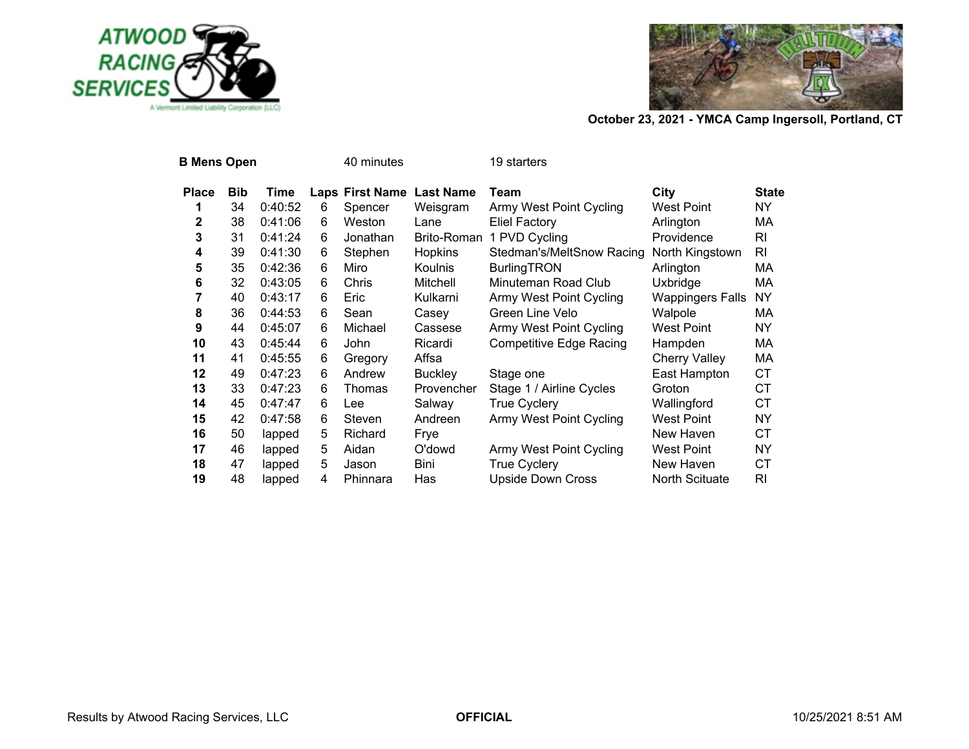



| <b>B Mens Open</b> |            |         |   | 40 minutes                |                    | 19 starters                    |                         |              |
|--------------------|------------|---------|---|---------------------------|--------------------|--------------------------------|-------------------------|--------------|
| <b>Place</b>       | <b>Bib</b> | Time    |   | Laps First Name Last Name |                    | Team                           | City                    | <b>State</b> |
| 1                  | 34         | 0:40:52 | 6 | Spencer                   | Weisgram           | <b>Army West Point Cycling</b> | <b>West Point</b>       | NY.          |
| 2                  | 38         | 0:41:06 | 6 | Weston                    | Lane               | <b>Eliel Factory</b>           | Arlington               | МA           |
| 3                  | 31         | 0:41:24 | 6 | Jonathan                  | <b>Brito-Roman</b> | 1 PVD Cycling                  | Providence              | RI           |
| 4                  | 39         | 0:41:30 | 6 | Stephen                   | Hopkins            | Stedman's/MeltSnow Racing      | North Kingstown         | RI           |
| 5                  | 35         | 0:42:36 | 6 | Miro                      | <b>Koulnis</b>     | <b>BurlingTRON</b>             | Arlington               | МA           |
| 6                  | 32         | 0:43:05 | 6 | Chris                     | Mitchell           | Minuteman Road Club            | Uxbridge                | МA           |
| 7                  | 40         | 0:43:17 | 6 | Eric                      | Kulkarni           | <b>Army West Point Cycling</b> | <b>Wappingers Falls</b> | NY.          |
| 8                  | 36         | 0:44:53 | 6 | Sean                      | Casey              | Green Line Velo                | Walpole                 | МA           |
| 9                  | 44         | 0:45:07 | 6 | Michael                   | Cassese            | Army West Point Cycling        | <b>West Point</b>       | NY.          |
| 10                 | 43         | 0:45:44 | 6 | John                      | Ricardi            | <b>Competitive Edge Racing</b> | Hampden                 | MA.          |
| 11                 | 41         | 0:45:55 | 6 | Gregory                   | Affsa              |                                | <b>Cherry Valley</b>    | МA           |
| 12                 | 49         | 0:47:23 | 6 | Andrew                    | <b>Buckley</b>     | Stage one                      | East Hampton            | CT.          |
| 13                 | 33         | 0:47:23 | 6 | Thomas                    | Provencher         | Stage 1 / Airline Cycles       | Groton                  | CT.          |
| 14                 | 45         | 0:47:47 | 6 | Lee                       | Salway             | <b>True Cyclery</b>            | Wallingford             | <b>CT</b>    |
| 15                 | 42         | 0:47:58 | 6 | Steven                    | Andreen            | Army West Point Cycling        | West Point              | NY.          |
| 16                 | 50         | lapped  | 5 | Richard                   | Frye               |                                | New Haven               | CT.          |
| 17                 | 46         | lapped  | 5 | Aidan                     | O'dowd             | Army West Point Cycling        | West Point              | <b>NY</b>    |
| 18                 | 47         | lapped  | 5 | Jason                     | <b>Bini</b>        | True Cyclery                   | New Haven               | СT           |
| 19                 | 48         | lapped  | 4 | Phinnara                  | Has                | <b>Upside Down Cross</b>       | North Scituate          | RI           |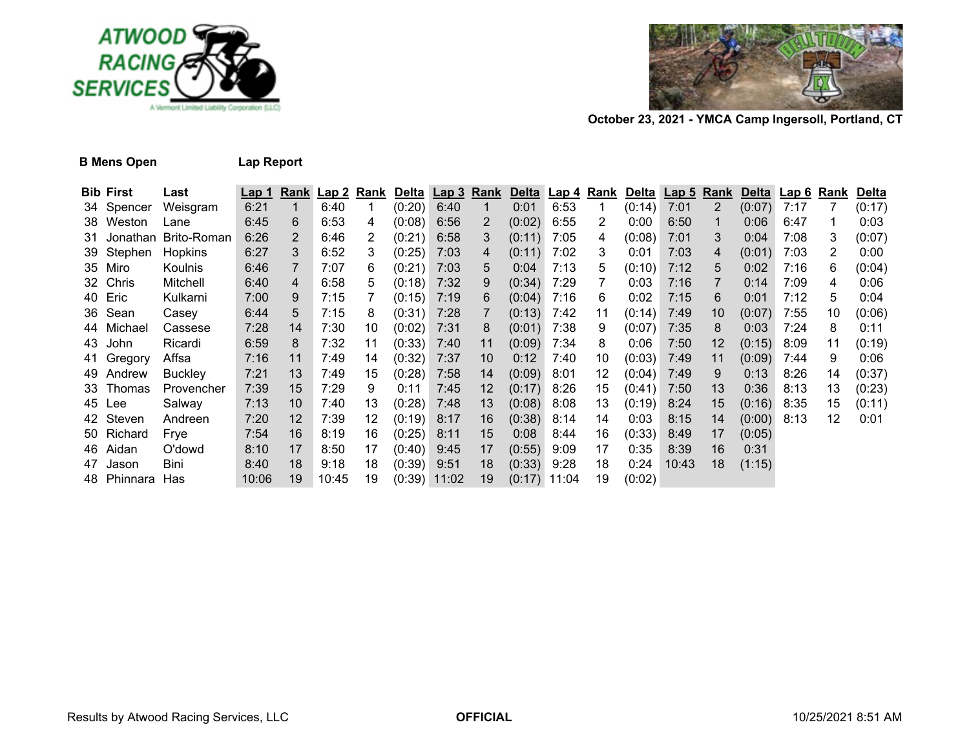



# **B Mens Open Lap Report**

| <b>Bib First</b> | Last           | <u>Lap 1</u> |                 |       |    |        | Rank Lap 2 Rank Delta Lap 3 Rank |                   |                |      |    | Delta Lap 4 Rank Delta Lap 5 Rank |       |                   |        | Delta Lap 6 Rank |                | <b>Delta</b> |
|------------------|----------------|--------------|-----------------|-------|----|--------|----------------------------------|-------------------|----------------|------|----|-----------------------------------|-------|-------------------|--------|------------------|----------------|--------------|
| 34 Spencer       | Weisgram       | 6:21         |                 | 6:40  |    | (0:20) | 6:40                             | $\mathbf{1}$      | 0:01           | 6:53 | 1  | (0:14)                            | 7:01  | $\overline{2}$    | (0:07) | 7:17             |                | (0:17)       |
| 38 Weston        | Lane           | 6:45         | 6               | 6:53  | 4  | (0:08) | 6:56                             | 2                 | (0:02)         | 6:55 | 2  | 0:00                              | 6:50  |                   | 0:06   | 6:47             |                | 0:03         |
| 31 Jonathan      | Brito-Roman    | 6:26         | $\overline{2}$  | 6:46  | 2  | (0:21) | 6:58                             | 3                 | (0:11)         | 7:05 | 4  | (0:08)                            | 7:01  | 3.                | 0:04   | 7:08             | 3              | (0:07)       |
| 39 Stephen       | <b>Hopkins</b> | 6:27         | 3               | 6:52  | 3  | (0:25) | 7:03                             | 4                 | (0:11)         | 7:02 | 3  | 0:01                              | 7:03  | 4                 | (0:01) | 7:03             | $\overline{2}$ | 0:00         |
| 35 Miro          | Koulnis        | 6:46         | 7               | 7:07  | 6  | (0:21) | 7:03                             | 5                 | 0:04           | 7:13 | 5  | (0:10)                            | 7:12  | 5                 | 0:02   | 7:16             | 6              | (0:04)       |
| 32 Chris         | Mitchell       | 6:40         | 4               | 6:58  | 5. | (0:18) | 7:32                             | 9                 | (0:34)         | 7:29 | 7  | 0:03                              | 7:16  |                   | 0:14   | 7:09             | 4              | 0:06         |
| 40 Eric          | Kulkarni       | 7:00         | 9               | 7:15  |    | (0:15) | 7:19                             | 6                 | (0:04)         | 7:16 | 6  | 0:02                              | 7:15  | 6                 | 0:01   | 7:12             | 5              | 0:04         |
| 36 Sean          | Casey          | 6:44         | 5               | 7:15  | 8  | (0:31) | 7:28                             |                   | (0:13)         | 7:42 | 11 | (0:14)                            | 7:49  | 10 <sup>°</sup>   | (0:07) | 7:55             | 10             | (0:06)       |
| 44 Michael       | Cassese        | 7:28         | 14              | 7:30  | 10 | (0:02) | 7:31                             | 8                 | (0:01)         | 7:38 | 9  | (0:07)                            | 7:35  | 8                 | 0:03   | 7:24             | 8              | 0:11         |
| 43 John          | Ricardi        | 6:59         | 8               | 7:32  | 11 | (0:33) | 7:40                             | 11                | (0:09)         | 7:34 | 8  | 0:06                              | 7:50  | $12 \overline{ }$ | (0:15) | 8:09             | 11             | (0:19)       |
| 41 Gregory       | Affsa          | 7:16         | 11              | 7:49  | 14 | (0:32) | 7:37                             | 10                | 0:12           | 7:40 | 10 | (0:03)                            | 7:49  | 11                | (0:09) | 7:44             | 9              | 0:06         |
| 49 Andrew        | <b>Buckley</b> | 7:21         | 13              | 7:49  | 15 | (0:28) | 7:58                             | 14                | (0:09)         | 8:01 | 12 | (0:04)                            | 7:49  | 9                 | 0:13   | 8:26             | 14             | (0:37)       |
| 33 Thomas        | Provencher     | 7:39         | 15              | 7:29  | 9  | 0:11   | 7:45                             | $12 \overline{ }$ | (0:17)         | 8:26 | 15 | (0:41)                            | 7:50  | 13                | 0:36   | 8:13             | 13             | (0:23)       |
| 45 Lee           | Salway         | 7:13         | 10 <sup>°</sup> | 7:40  | 13 | (0:28) | 7:48                             | 13                | (0:08)         | 8:08 | 13 | (0:19)                            | 8:24  | 15                | (0:16) | 8:35             | 15             | (0:11)       |
| 42 Steven        | Andreen        | 7:20         | 12              | 7:39  | 12 | (0:19) | 8:17                             | 16                | (0:38)         | 8:14 | 14 | 0:03                              | 8:15  | 14                | (0:00) | 8:13             | 12             | 0:01         |
| 50 Richard       | Frye           | 7:54         | 16              | 8:19  | 16 | (0:25) | 8:11                             | 15                | 0:08           | 8:44 | 16 | (0:33)                            | 8:49  | 17                | (0:05) |                  |                |              |
| 46 Aidan         | O'dowd         | 8:10         | 17              | 8:50  | 17 | (0:40) | 9:45                             | 17                | (0:55)         | 9:09 | 17 | 0:35                              | 8:39  | 16                | 0:31   |                  |                |              |
| 47 Jason         | Bini           | 8:40         | 18              | 9:18  | 18 | (0:39) | 9:51                             | 18                | (0:33)         | 9:28 | 18 | 0:24                              | 10:43 | 18                | (1:15) |                  |                |              |
| 48 Phinnara      | Has            | 10:06        | 19              | 10:45 | 19 |        | $(0:39)$ 11:02                   | 19                | $(0:17)$ 11:04 |      | 19 | (0:02)                            |       |                   |        |                  |                |              |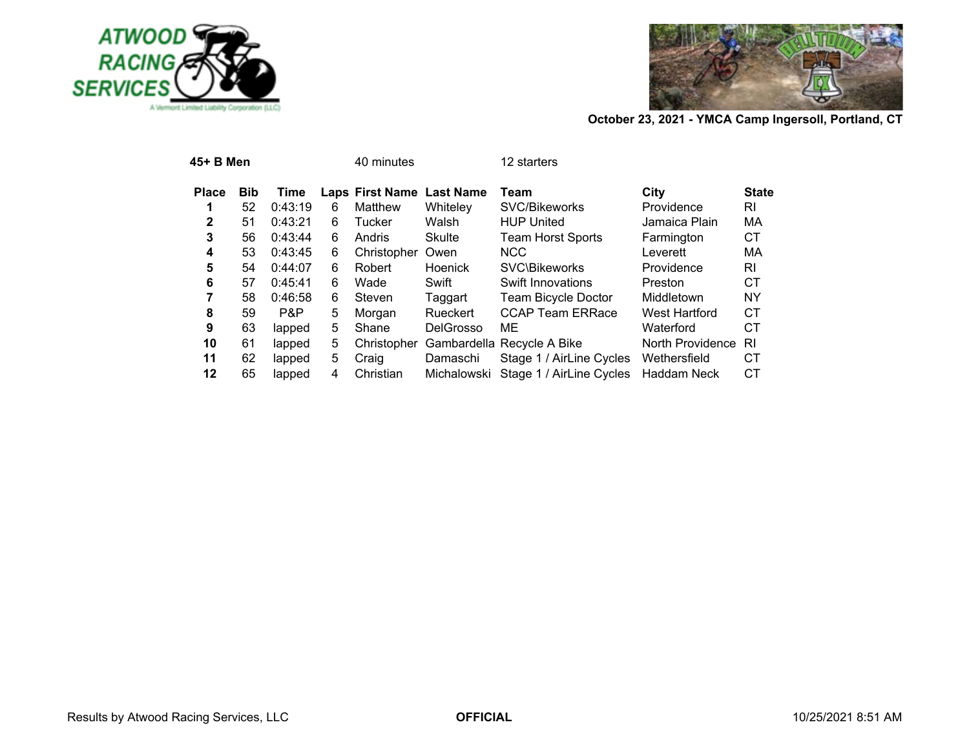



| 45+ B Men    |            |         |   | 40 minutes                |                  | 12 starters                          |                  |              |
|--------------|------------|---------|---|---------------------------|------------------|--------------------------------------|------------------|--------------|
| <b>Place</b> | <b>Bib</b> | Time    |   | Laps First Name Last Name |                  | Team                                 | City             | <b>State</b> |
|              | 52         | 0:43:19 | 6 | Matthew                   | Whiteley         | SVC/Bikeworks                        | Providence       | RI           |
| 2            | 51         | 0:43:21 | 6 | Tucker                    | Walsh            | <b>HUP United</b>                    | Jamaica Plain    | MA           |
| 3            | 56         | 0:43:44 | 6 | Andris                    | Skulte           | <b>Team Horst Sports</b>             | Farmington       | СT           |
| 4            | 53         | 0:43:45 | 6 | Christopher               | Owen             | <b>NCC</b>                           | Leverett         | МA           |
| 5            | 54         | 0:44:07 | 6 | Robert                    | <b>Hoenick</b>   | <b>SVC\Bikeworks</b>                 | Providence       | RI           |
| 6            | 57         | 0:45:41 | 6 | Wade                      | Swift            | Swift Innovations                    | Preston          | СT           |
| 7            | 58         | 0:46:58 | 6 | Steven                    | Taggart          | Team Bicycle Doctor                  | Middletown       | <b>NY</b>    |
| 8            | 59         | P&P     | 5 | Morgan                    | <b>Rueckert</b>  | <b>CCAP Team ERRace</b>              | West Hartford    | СT           |
| 9            | 63         | lapped  | 5 | Shane                     | <b>DelGrosso</b> | ME                                   | Waterford        | СT           |
| 10           | 61         | lapped  | 5 | Christopher               |                  | Gambardella Recycle A Bike           | North Providence | RI           |
| 11           | 62         | lapped  | 5 | Craig                     | Damaschi         | Stage 1 / AirLine Cycles             | Wethersfield     | CТ           |
| 12           | 65         | lapped  | 4 | Christian                 |                  | Michalowski Stage 1 / AirLine Cycles | Haddam Neck      | СT           |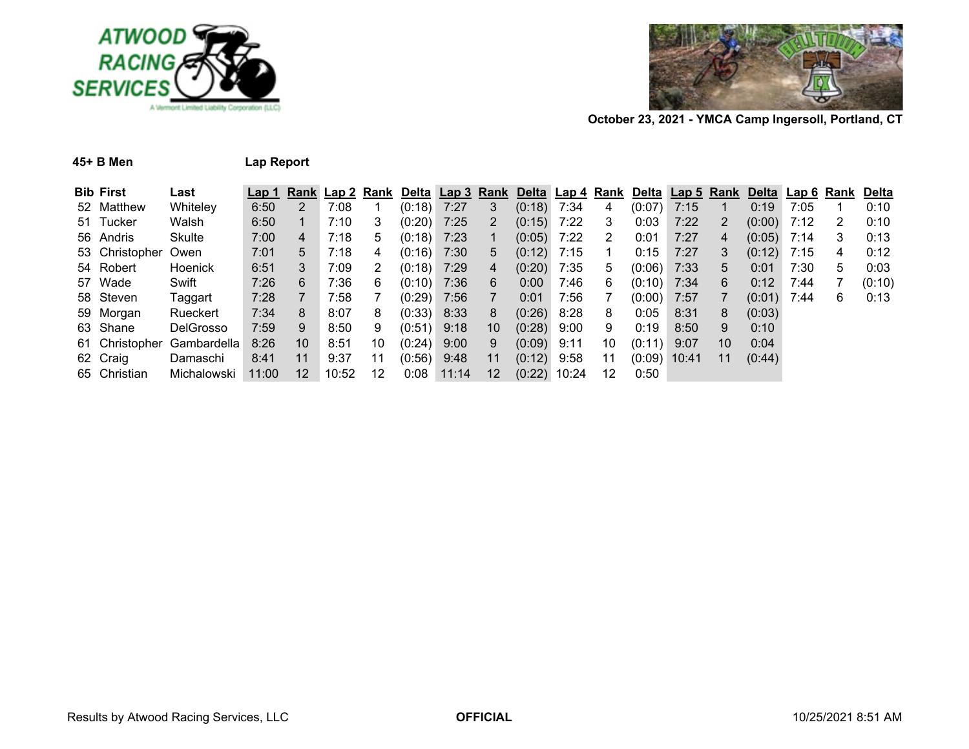



| 45+ B Men | <b>Lap Report</b> |  |  |
|-----------|-------------------|--|--|
|           |                   |  |  |

|  |  | ap Report |  |
|--|--|-----------|--|
|--|--|-----------|--|

| <b>Bib First</b>    | Last                       | Lap 1 |    |       |    | Rank Lap 2 Rank Delta Lap 3 Rank Delta Lap 4 Rank |       |                   |                |      |    | Delta Lap 5 Rank |      |    | Delta Lap 6 Rank |      |   | Delta  |
|---------------------|----------------------------|-------|----|-------|----|---------------------------------------------------|-------|-------------------|----------------|------|----|------------------|------|----|------------------|------|---|--------|
| 52 Matthew          | Whiteley                   | 6:50  |    | 7:08  |    | $(0:18)$ 7:27                                     |       | 3                 | $(0:18)$ 7:34  |      | 4  | (0:07)           | 7:15 |    | 0:19             | 7:05 |   | 0:10   |
| 51 Tucker           | Walsh                      | 6:50  |    | 7:10  |    | $(0:20)$ 7:25                                     |       | 2                 | $(0:15)$ 7:22  |      | 3  | 0:03             | 7:22 |    | (0:00)           | 7:12 | 2 | 0:10   |
| 56 Andris           | Skulte                     | 7:00  | 4  | 7:18  | 5  | $(0:18)$ 7:23                                     |       |                   | $(0.05)$ 7:22  |      | 2  | 0:01             | 7:27 | 4  | $(0:05)$ 7:14    |      | 3 | 0:13   |
| 53 Christopher Owen |                            | 7:01  | 5  | 7:18  | 4  | $(0:16)$ 7:30                                     |       | 5                 | $(0:12)$ 7:15  |      |    | 0:15             | 7:27 | 3  | (0:12)           | 7:15 | 4 | 0:12   |
| 54 Robert           | <b>Hoenick</b>             | 6:51  | 3  | 7:09  |    | $(0:18)$ 7:29                                     |       | 4                 | $(0:20)$ 7:35  |      | 5  | $(0:06)$ 7:33    |      | 5. | 0:01             | 7:30 | 5 | 0:03   |
| 57 Wade             | Swift                      | 7:26  | 6  | 7:36  | 6  | $(0:10)$ 7:36                                     |       | 6                 | 0:00           | 7:46 | 6  | $(0:10)$ 7:34    |      | 6  | 0:12             | 7:44 |   | (0:10) |
| 58 Steven           | Taggart                    | 7:28  |    | 7:58  |    | $(0:29)$ 7:56                                     |       | $\overline{7}$    | 0:01           | 7:56 |    | $(0:00)$ 7:57    |      |    | (0:01)           | 7:44 | 6 | 0:13   |
| 59 Morgan           | Rueckert                   | 7:34  | 8  | 8:07  | 8  | $(0.33)$ 8:33                                     |       | 8                 | $(0.26)$ 8:28  |      | 8  | 0:05             | 8:31 | 8  | (0:03)           |      |   |        |
| 63 Shane            | <b>DelGrosso</b>           | 7:59  | 9  | 8:50  | 9  | $(0.51)$ 9:18                                     |       | 10                | $(0.28)$ 9:00  |      | 9  | 0:19             | 8:50 | 9  | 0:10             |      |   |        |
|                     | 61 Christopher Gambardella | 8:26  | 10 | 8:51  | 10 | $(0.24)$ 9:00                                     |       | 9                 | $(0:09)$ 9:11  |      | 10 | (0:11)           | 9:07 | 10 | 0:04             |      |   |        |
| 62 Craig            | Damaschi                   | 8:41  | 11 | 9:37  | 11 | $(0.56)$ 9:48                                     |       | 11                | $(0:12)$ 9:58  |      | 11 | $(0:09)$ 10:41   |      | 11 | (0:44)           |      |   |        |
| 65 Christian        | Michalowski                | 11:00 | 12 | 10:52 | 12 | 0:08                                              | 11:14 | $12 \overline{ }$ | $(0:22)$ 10:24 |      | 12 | 0:50             |      |    |                  |      |   |        |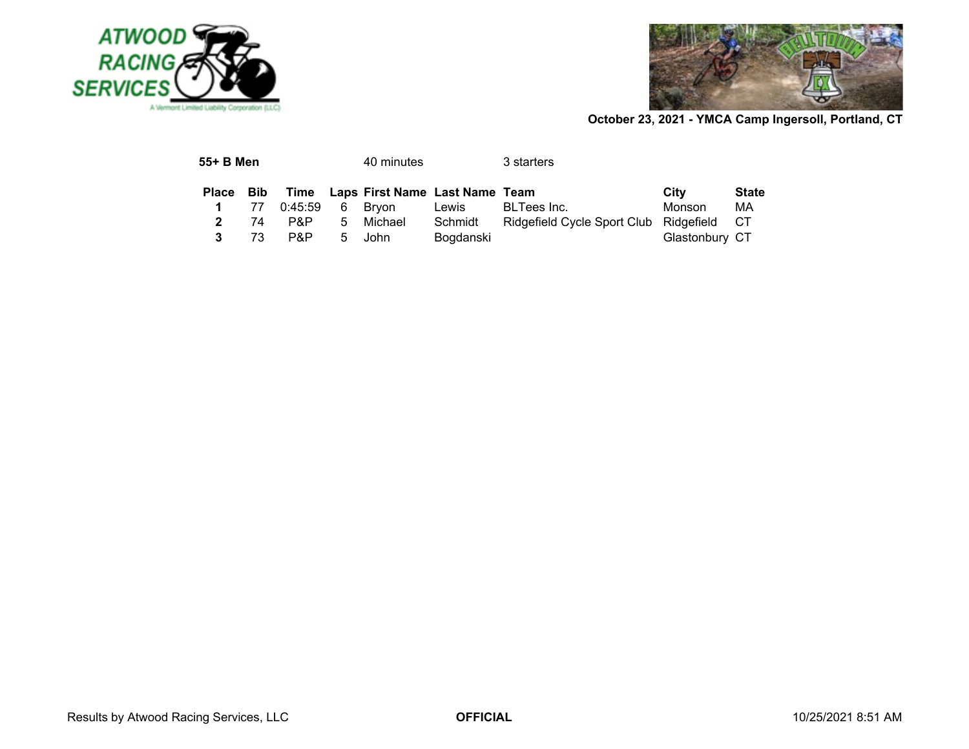



| 55+ B Men    |       |         |    | 40 minutes                          |           | 3 starters                             |                |              |
|--------------|-------|---------|----|-------------------------------------|-----------|----------------------------------------|----------------|--------------|
| Place        | – Bib |         |    | Time Laps First Name Last Name Team |           |                                        | City           | <b>State</b> |
|              | 77    | 0:45:59 |    | 6 Brvon                             | Lewis     | BLTees Inc.                            | Monson         | МA           |
| $\mathbf{2}$ | 74    | P&P     | 5. | Michael                             | Schmidt   | Ridgefield Cycle Sport Club Ridgefield |                | - CT         |
| 3            | 73    | P&P     | 5  | John                                | Bogdanski |                                        | Glastonbury CT |              |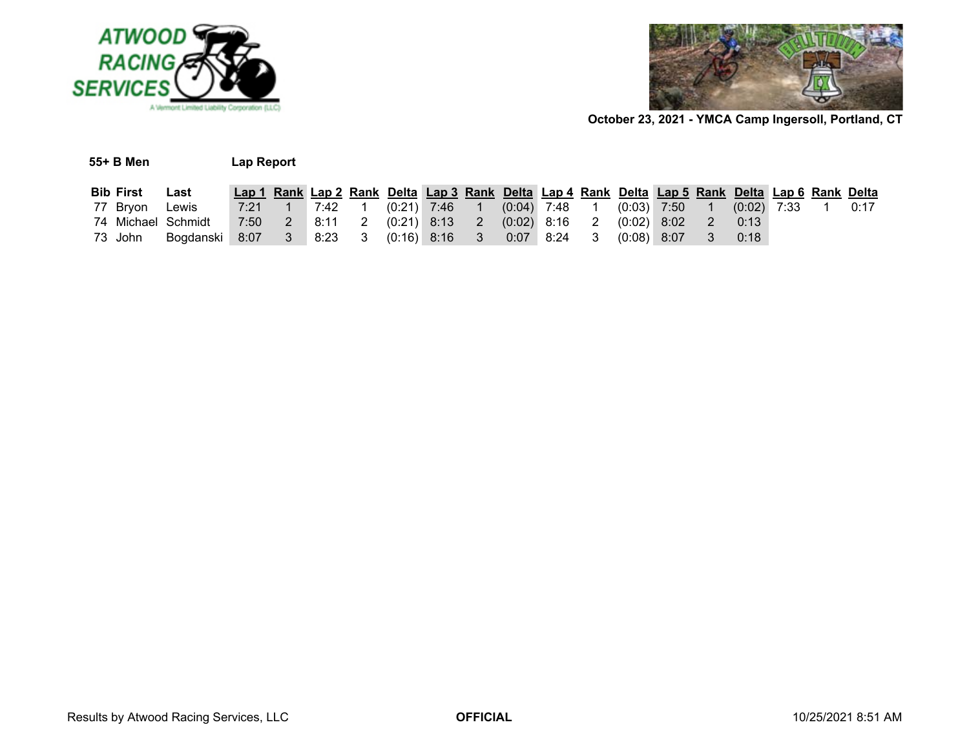



| 55+ B Men<br>Lap Report |                                                                                |                                                                                                 |  |  |  |                                                                                      |  |  |               |                |      |  |      |
|-------------------------|--------------------------------------------------------------------------------|-------------------------------------------------------------------------------------------------|--|--|--|--------------------------------------------------------------------------------------|--|--|---------------|----------------|------|--|------|
| <b>Bib First</b>        | Last                                                                           | Lap 1 Rank Lap 2 Rank Delta Lap 3 Rank Delta Lap 4 Rank Delta Lap 5 Rank Delta Lap 6 Rank Delta |  |  |  |                                                                                      |  |  |               |                |      |  |      |
| 77 Brvon                | Lewis                                                                          |                                                                                                 |  |  |  | 7:21  1  7:42  1  (0:21)  7:46  1  (0:04)  7:48  1  (0:03)  7:50  1  (0:02)  7:33  1 |  |  |               |                |      |  | 0:17 |
| 74 Michael Schmidt      |                                                                                | 7:50  2  8:11  2  (0:21)  8:13  2  (0:02)  8:16  2  (0:02)  8:02                                |  |  |  |                                                                                      |  |  |               | $\overline{2}$ | 0:13 |  |      |
| 73 John                 | Bogdanski 8:07    3    8:23     3    (0:16)   8:16     3     0:07   8:24     3 |                                                                                                 |  |  |  |                                                                                      |  |  | $(0:08)$ 8:07 | $3 -$          | 0:18 |  |      |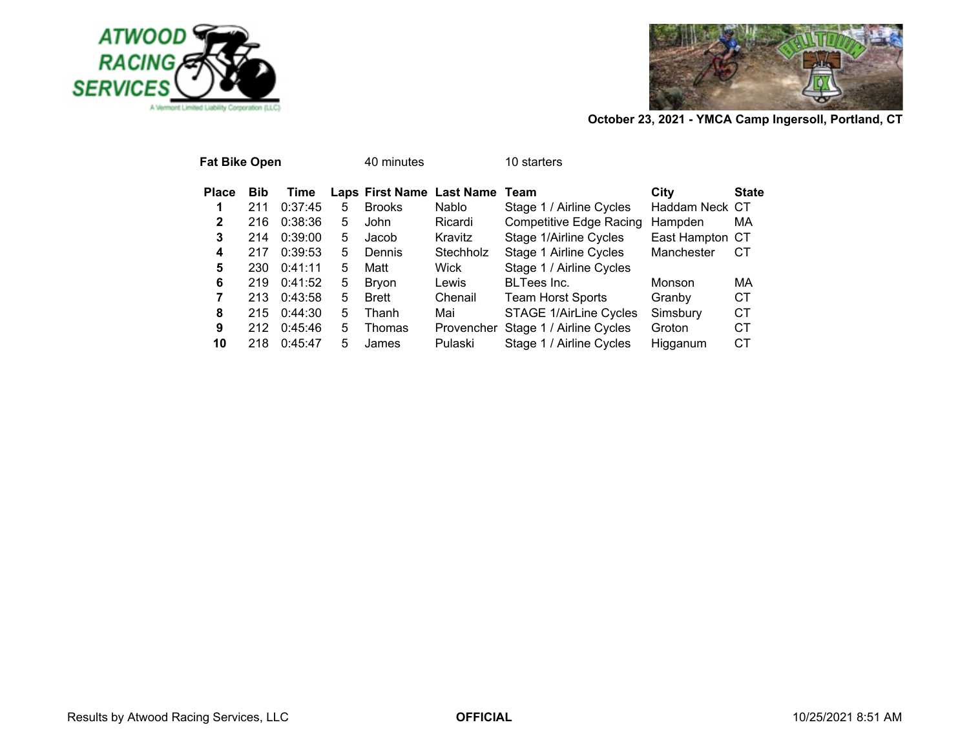



| <b>Fat Bike Open</b> |            |         |   | 40 minutes    |                                | 10 starters                    |                 |              |
|----------------------|------------|---------|---|---------------|--------------------------------|--------------------------------|-----------------|--------------|
| <b>Place</b>         | <b>Bib</b> | Time    |   |               | Laps First Name Last Name Team |                                | City            | <b>State</b> |
| 1                    | 211        | 0:37:45 | 5 | <b>Brooks</b> | <b>Nablo</b>                   | Stage 1 / Airline Cycles       | Haddam Neck CT  |              |
| 2                    | 216        | 0:38:36 | 5 | John          | Ricardi                        | <b>Competitive Edge Racing</b> | Hampden         | MA           |
| 3                    | 214        | 0:39:00 | 5 | Jacob         | Kravitz                        | Stage 1/Airline Cycles         | East Hampton CT |              |
| 4                    | 217        | 0:39:53 | 5 | Dennis        | Stechholz                      | Stage 1 Airline Cycles         | Manchester      | СT           |
| 5                    | 230        | 0:41:11 | 5 | Matt          | Wick                           | Stage 1 / Airline Cycles       |                 |              |
| 6                    | 219        | 0:41:52 | 5 | <b>Bryon</b>  | Lewis                          | <b>BLTees Inc.</b>             | Monson          | MA           |
| 7                    | 213        | 0:43:58 | 5 | <b>Brett</b>  | Chenail                        | <b>Team Horst Sports</b>       | Granby          | СT           |
| 8                    | 215        | 0:44:30 | 5 | Thanh         | Mai                            | <b>STAGE 1/AirLine Cycles</b>  | Simsbury        | СT           |
| 9                    | 212        | 0:45:46 | 5 | Thomas        | Provencher                     | Stage 1 / Airline Cycles       | Groton          | СT           |
| 10                   | 218        | 0:45:47 | 5 | James         | Pulaski                        | Stage 1 / Airline Cycles       | Higganum        | СT           |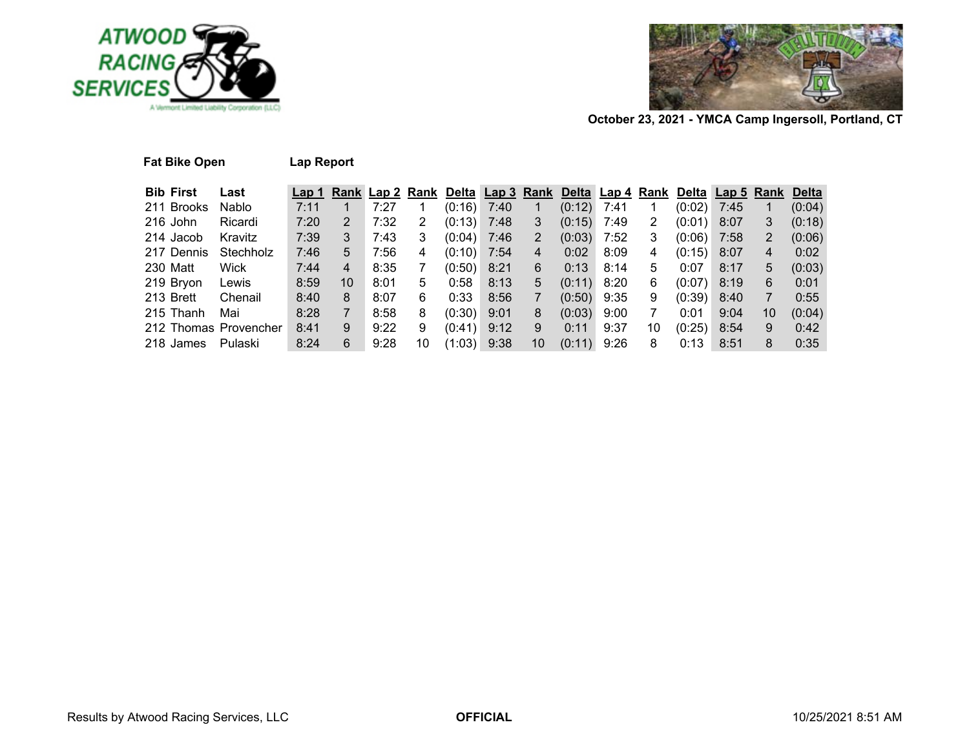



| <b>Fat Bike Open</b>  |           | Lap Report       |    |                 |    |               |      |      |             |      |      |        |            |    |              |
|-----------------------|-----------|------------------|----|-----------------|----|---------------|------|------|-------------|------|------|--------|------------|----|--------------|
| <b>Bib First</b>      | Last      | Lap <sub>1</sub> |    | Rank Lap 2 Rank |    | Del <u>ta</u> | Lap3 | Rank | Delta Lap 4 |      | Rank | Delta  | Lap 5 Rank |    | <b>Delta</b> |
| 211 Brooks            | Nablo     | 7:11             |    | 7:27            |    | (0:16)        | 7:40 |      | (0:12)      | 7:41 | 1    | (0:02) | 7:45       |    | (0:04)       |
| 216 John              | Ricardi   | 7:20             | 2  | 7:32            | 2  | (0:13)        | 7:48 | 3    | (0:15)      | 7:49 | 2    | (0:01) | 8:07       | 3  | (0:18)       |
| 214 Jacob             | Kravitz   | 7:39             | 3  | 7:43            | 3  | (0:04)        | 7:46 | 2    | (0:03)      | 7:52 | 3    | (0:06) | 7:58       | 2  | (0:06)       |
| 217 Dennis            | Stechholz | 7:46             | 5  | 7:56            | 4  | (0:10)        | 7:54 | 4    | 0:02        | 8:09 | 4    | (0:15) | 8:07       | 4  | 0:02         |
| 230 Matt              | Wick      | 7:44             | 4  | 8:35            | 7  | (0:50)        | 8:21 | 6    | 0:13        | 8:14 | 5    | 0:07   | 8:17       | 5  | (0:03)       |
| 219 Bryon             | Lewis     | 8:59             | 10 | 8:01            | 5  | 0:58          | 8:13 | 5    | (0:11)      | 8:20 | 6    | (0:07) | 8:19       | 6  | 0:01         |
| 213 Brett             | Chenail   | 8:40             | 8  | 8:07            | 6  | 0:33          | 8:56 |      | (0:50)      | 9:35 | 9    | (0:39) | 8:40       | 7  | 0:55         |
| 215 Thanh             | Mai       | 8:28             | 7  | 8:58            | 8  | (0:30)        | 9:01 | 8    | (0:03)      | 9:00 | 7    | 0:01   | 9:04       | 10 | (0:04)       |
| 212 Thomas Provencher |           | 8:41             | 9  | 9:22            | 9  | (0:41)        | 9:12 | 9    | 0:11        | 9:37 | 10   | (0:25) | 8:54       | 9  | 0:42         |
| 218 James             | Pulaski   | 8:24             | 6  | 9:28            | 10 | (1:03)        | 9:38 | 10   | (0:11)      | 9:26 | 8    | 0:13   | 8:51       | 8  | 0:35         |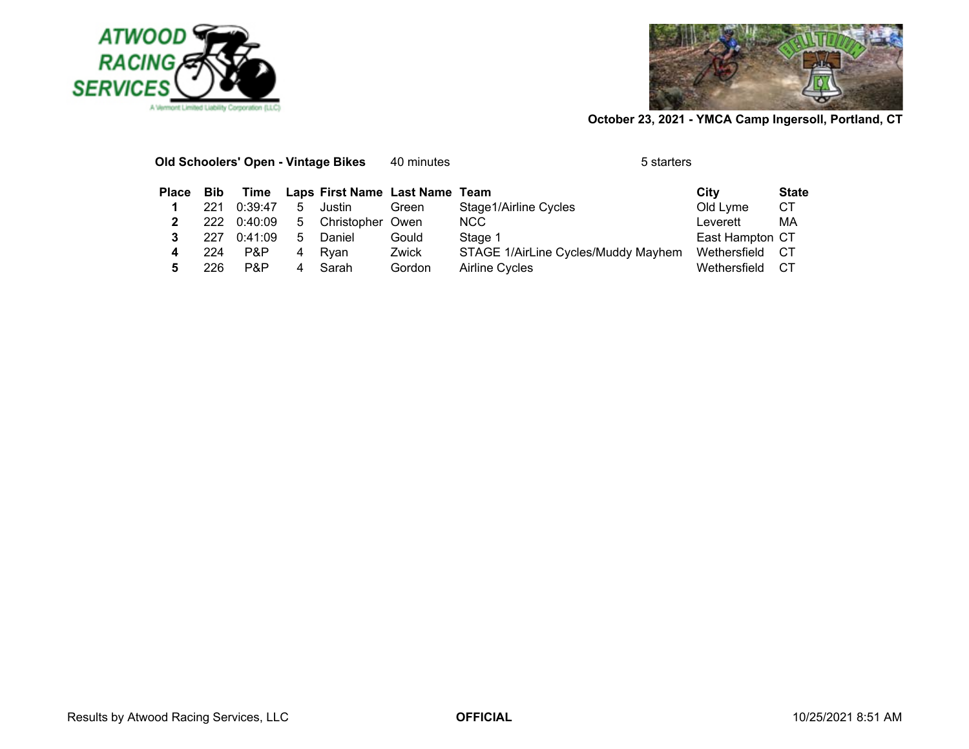



|              |            |         |   | Old Schoolers' Open - Vintage Bikes | 40 minutes | 5 starters                          |                 |              |
|--------------|------------|---------|---|-------------------------------------|------------|-------------------------------------|-----------------|--------------|
| <b>Place</b> | <b>Bib</b> | Time    |   | Laps First Name Last Name Team      |            |                                     | City            | <b>State</b> |
|              | 221        | 0:39:47 | 5 | Justin                              | Green      | Stage1/Airline Cycles               | Old Lyme        | CТ           |
|              | 222        | 0:40:09 | 5 | Christopher                         | Owen       | NCC.                                | Leverett        | MA           |
|              | 227        | 0:41:09 | 5 | Daniel                              | Gould      | Stage 1                             | East Hampton CT |              |
|              | 224        | P&P     | 4 | Rvan                                | Zwick      | STAGE 1/AirLine Cycles/Muddy Mayhem | Wethersfield    | -CT          |
|              | 226        | P&P     | 4 | Sarah                               | Gordon     | Airline Cycles                      | Wethersfield    | CТ           |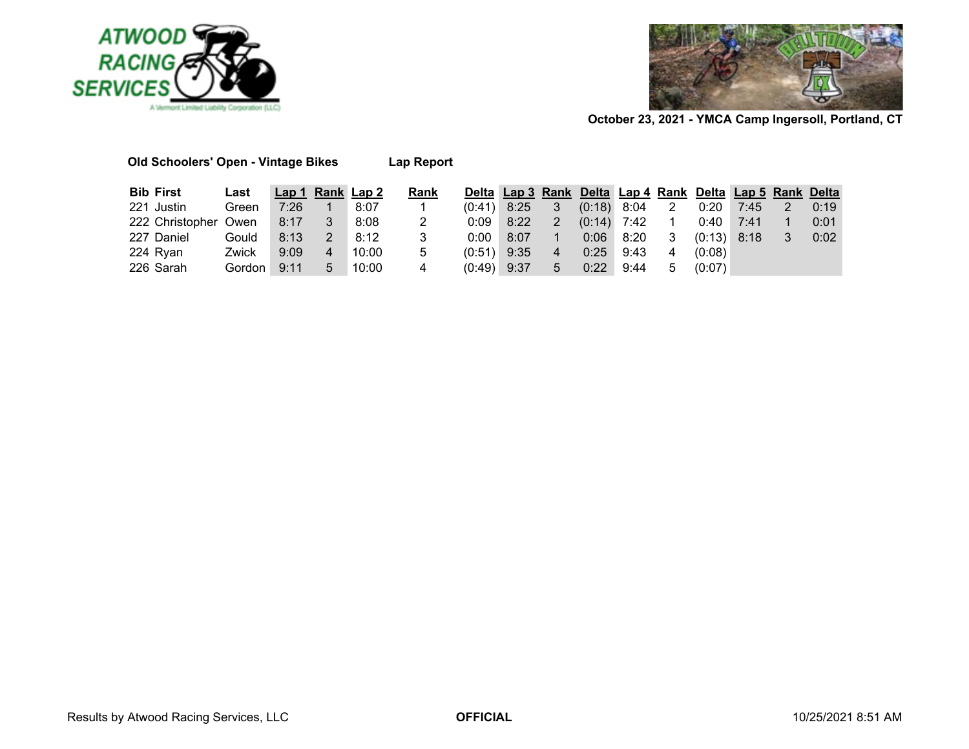



| <b>Bib First</b>     | Last   |      |   | Lap 1 Rank Lap 2 | Rank |               |      |                |      |                 |                |               | Delta Lap 3 Rank Delta Lap 4 Rank Delta Lap 5 Rank Delta |   |      |
|----------------------|--------|------|---|------------------|------|---------------|------|----------------|------|-----------------|----------------|---------------|----------------------------------------------------------|---|------|
|                      |        |      |   |                  |      |               |      |                |      |                 |                |               |                                                          |   |      |
| 221 Justin           | Green  | 7:26 |   | 8:07             |      | $(0.41)$ 8:25 |      | $3^{\circ}$    |      | $(0:18)$ 8:04 2 |                | $0:20$ 7:45   |                                                          | 2 | 0:19 |
| 222 Christopher Owen |        | 8:17 |   | 8:08             | 2    | 0:09          | 8:22 | 2              |      | $(0:14)$ 7:42   | $\overline{1}$ | $0:40$ 7:41   |                                                          |   | 0:01 |
| 227 Daniel           | Gould  | 8:13 | 2 | 8:12             |      | 0:00          | 8:07 |                |      | $0:06$ $8:20$   | -3             | $(0:13)$ 8:18 |                                                          | 3 | 0:02 |
| 224 Ryan             | Zwick  | 9:09 | 4 | 10:00            | 5    | $(0:51)$ 9:35 |      | $\overline{4}$ | 0:25 | 9:43            | 4              | (0:08)        |                                                          |   |      |
| 226 Sarah            | Gordon | 9:11 | 5 | 10:00            | 4    | $(0.49)$ 9:37 |      | 5 <sup>5</sup> | 0:22 | 9:44            | 5              | (0:07)        |                                                          |   |      |

**Old Schoolers' Open - Vintage Bikes Lap Report**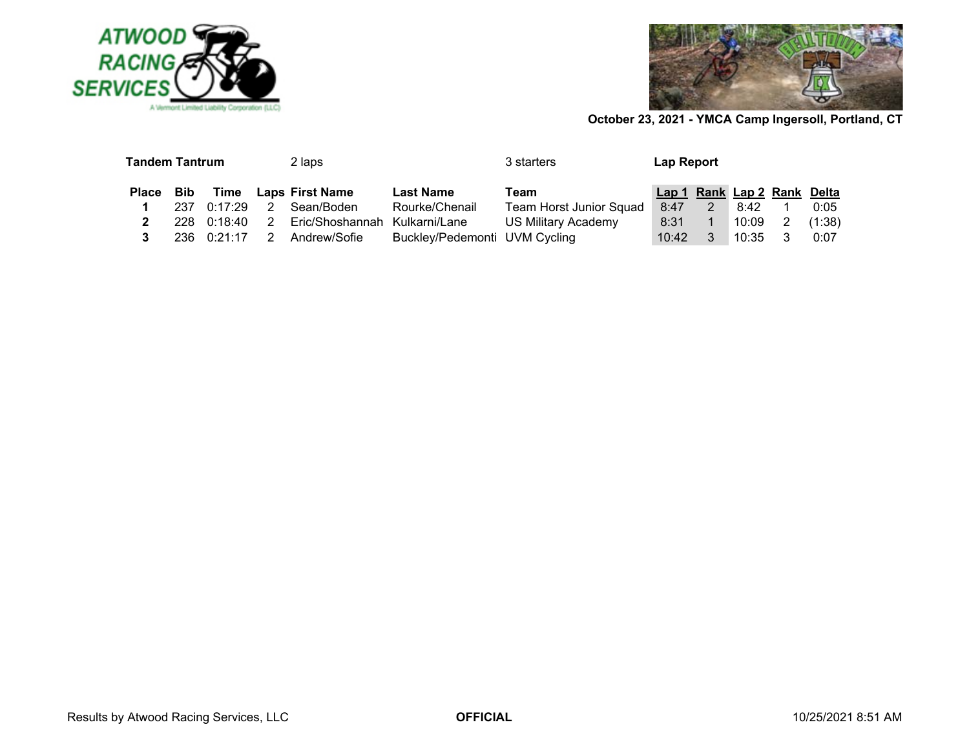



| <b>Tandem Tantrum</b> |      |                     |   | 2 laps                        |                               | 3 starters                     | <b>Lap Report</b>           |  |       |   |        |  |
|-----------------------|------|---------------------|---|-------------------------------|-------------------------------|--------------------------------|-----------------------------|--|-------|---|--------|--|
| Place Bib             |      |                     |   | Time Laps First Name          | <b>Last Name</b>              | Team                           | Lap 1 Rank Lap 2 Rank Delta |  |       |   |        |  |
|                       | 237  | 0:17:29             |   | Sean/Boden                    | Rourke/Chenail                | <b>Team Horst Junior Squad</b> | 8:47                        |  | 8:42  |   | 0:05   |  |
|                       |      | $228 \quad 0:18:40$ | 2 | Eric/Shoshannah Kulkarni/Lane |                               | <b>US Military Academy</b>     | 8:31                        |  | 10:09 | 2 | (1:38) |  |
|                       | 236. | 0:21:17             |   | Andrew/Sofie                  | Buckley/Pedemonti UVM Cycling |                                | 10:42                       |  | 10:35 |   | 0:07   |  |